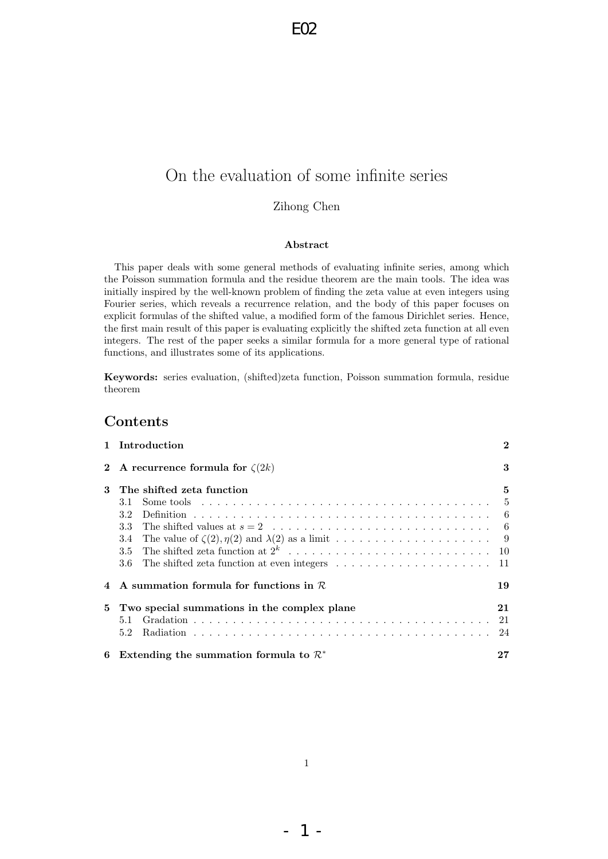# On the evaluation of some infinite series

Zihong Chen

#### Abstract

This paper deals with some general methods of evaluating infinite series, among which the Poisson summation formula and the residue theorem are the main tools. The idea was initially inspired by the well-known problem of finding the zeta value at even integers using Fourier series, which reveals a recurrence relation, and the body of this paper focuses on explicit formulas of the shifted value, a modified form of the famous Dirichlet series. Hence, the first main result of this paper is evaluating explicitly the shifted zeta function at all even integers. The rest of the paper seeks a similar formula for a more general type of rational functions, and illustrates some of its applications.

Keywords: series evaluation, (shifted)zeta function, Poisson summation formula, residue theorem

## Contents

|              | 1 Introduction                                                                                                 | $\mathbf{2}$ |
|--------------|----------------------------------------------------------------------------------------------------------------|--------------|
| $\mathbf{2}$ | A recurrence formula for $\zeta(2k)$                                                                           | 3            |
| 3            | The shifted zeta function                                                                                      | 5            |
|              | Some tools $\ldots \ldots \ldots \ldots \ldots \ldots \ldots \ldots \ldots \ldots \ldots \ldots \ldots$<br>3.1 |              |
|              | 3.2                                                                                                            |              |
|              | 3.3                                                                                                            |              |
|              | 3.4                                                                                                            |              |
|              |                                                                                                                |              |
|              |                                                                                                                |              |
|              | A summation formula for functions in $R$                                                                       | 19           |
| 5            | Two special summations in the complex plane                                                                    | 21           |
|              | 5.1                                                                                                            | 21           |
|              | 5.2                                                                                                            | 24           |
| 6            | Extending the summation formula to $\mathcal{R}^*$                                                             | 27           |

- 1 -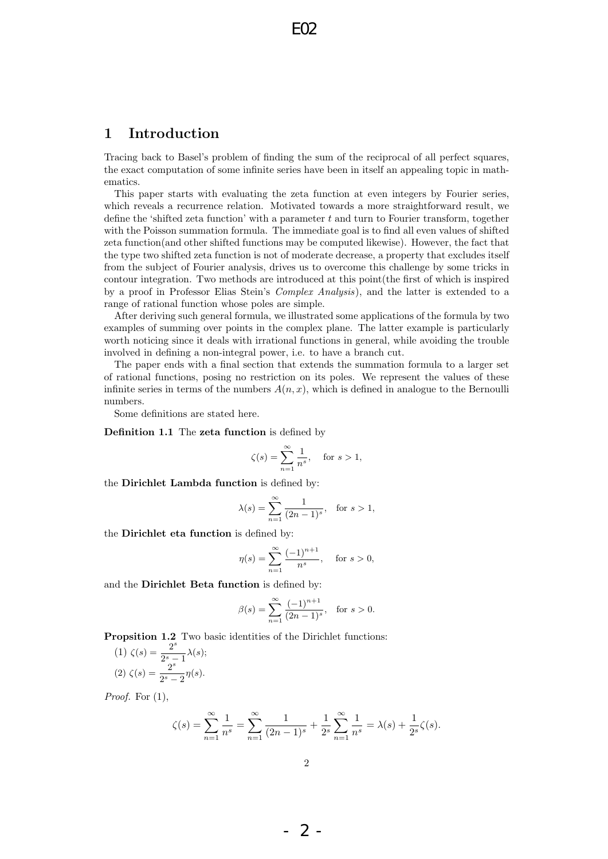## 1 Introduction

Tracing back to Basel's problem of finding the sum of the reciprocal of all perfect squares, the exact computation of some infinite series have been in itself an appealing topic in mathematics.

This paper starts with evaluating the zeta function at even integers by Fourier series, which reveals a recurrence relation. Motivated towards a more straightforward result, we define the 'shifted zeta function' with a parameter  $t$  and turn to Fourier transform, together with the Poisson summation formula. The immediate goal is to find all even values of shifted zeta function(and other shifted functions may be computed likewise). However, the fact that the type two shifted zeta function is not of moderate decrease, a property that excludes itself from the subject of Fourier analysis, drives us to overcome this challenge by some tricks in contour integration. Two methods are introduced at this point(the first of which is inspired by a proof in Professor Elias Stein's Complex Analysis), and the latter is extended to a range of rational function whose poles are simple.

After deriving such general formula, we illustrated some applications of the formula by two examples of summing over points in the complex plane. The latter example is particularly worth noticing since it deals with irrational functions in general, while avoiding the trouble involved in defining a non-integral power, i.e. to have a branch cut.

The paper ends with a final section that extends the summation formula to a larger set of rational functions, posing no restriction on its poles. We represent the values of these infinite series in terms of the numbers  $A(n, x)$ , which is defined in analogue to the Bernoulli numbers.

Some definitions are stated here.

Definition 1.1 The zeta function is defined by

$$
\zeta(s) = \sum_{n=1}^{\infty} \frac{1}{n^s}, \quad \text{for } s > 1,
$$

the Dirichlet Lambda function is defined by:

$$
\lambda(s) = \sum_{n=1}^{\infty} \frac{1}{(2n-1)^s}
$$
, for  $s > 1$ ,

the Dirichlet eta function is defined by:

$$
\eta(s) = \sum_{n=1}^{\infty} \frac{(-1)^{n+1}}{n^s}
$$
, for  $s > 0$ ,

and the Dirichlet Beta function is defined by:

$$
\beta(s) = \sum_{n=1}^{\infty} \frac{(-1)^{n+1}}{(2n-1)^s}, \text{ for } s > 0.
$$

**Propsition 1.2** Two basic identities of the Dirichlet functions:

(1) 
$$
\zeta(s) = \frac{2^s}{2^s - 1} \lambda(s);
$$
  
(2)  $\zeta(s) = \frac{2^s}{2^s - 2} \eta(s).$ 

*Proof.* For  $(1)$ ,

$$
\zeta(s) = \sum_{n=1}^{\infty} \frac{1}{n^s} = \sum_{n=1}^{\infty} \frac{1}{(2n-1)^s} + \frac{1}{2^s} \sum_{n=1}^{\infty} \frac{1}{n^s} = \lambda(s) + \frac{1}{2^s} \zeta(s).
$$

- 2 -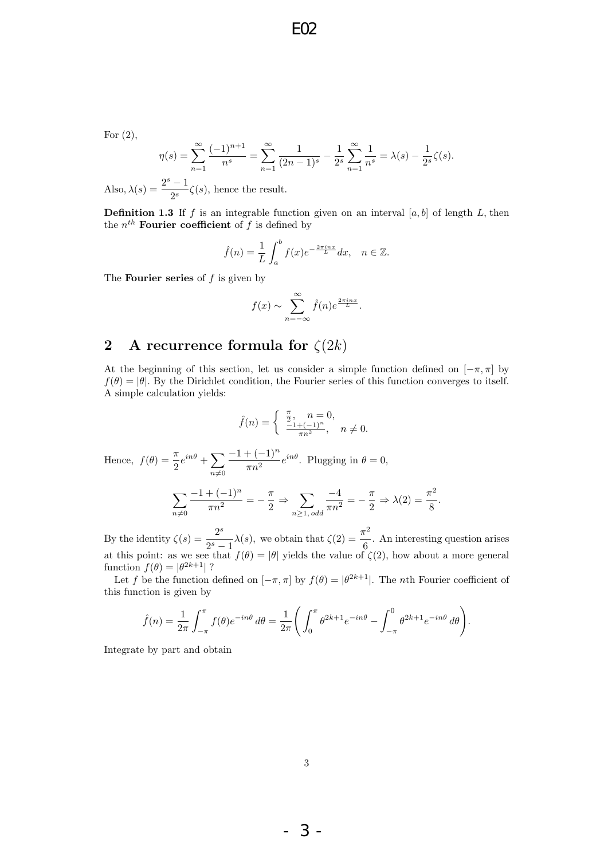For  $(2)$ ,

$$
\eta(s) = \sum_{n=1}^{\infty} \frac{(-1)^{n+1}}{n^s} = \sum_{n=1}^{\infty} \frac{1}{(2n-1)^s} - \frac{1}{2^s} \sum_{n=1}^{\infty} \frac{1}{n^s} = \lambda(s) - \frac{1}{2^s} \zeta(s).
$$

Also,  $\lambda(s) = \frac{2^s - 1}{s}$  $\frac{1}{2^s}\zeta(s)$ , hence the result.

**Definition 1.3** If f is an integrable function given on an interval  $[a, b]$  of length L, then the  $n^{th}$  Fourier coefficient of f is defined by

$$
\hat{f}(n) = \frac{1}{L} \int_a^b f(x)e^{-\frac{2\pi i nx}{L}} dx, \quad n \in \mathbb{Z}.
$$

The **Fourier series** of  $f$  is given by

$$
f(x) \sim \sum_{n=-\infty}^{\infty} \hat{f}(n)e^{\frac{2\pi inx}{L}}.
$$

# 2 A recurrence formula for  $\zeta(2k)$

At the beginning of this section, let us consider a simple function defined on  $[-\pi, \pi]$  by  $f(\theta) = |\theta|$ . By the Dirichlet condition, the Fourier series of this function converges to itself. A simple calculation yields:

$$
\hat{f}(n) = \begin{cases} \frac{\pi}{2}, & n = 0, \\ \frac{-1 + (-1)^n}{\pi n^2}, & n \neq 0. \end{cases}
$$

Hence,  $f(\theta) = \frac{\pi}{2}e^{in\theta} + \sum_{n=0}^{\infty}$  $n\neq0$  $-1+(-1)^n$  $\frac{\pi n^2}{\pi n^2} e^{in\theta}$ . Plugging in  $\theta = 0$ ,

$$
\sum_{n\neq 0} \frac{-1+(-1)^n}{\pi n^2} = -\frac{\pi}{2} \Rightarrow \sum_{n\geq 1, odd} \frac{-4}{\pi n^2} = -\frac{\pi}{2} \Rightarrow \lambda(2) = \frac{\pi^2}{8}.
$$

By the identity  $\zeta(s) = \frac{2^s}{\gamma(s)}$  $2^{s} - 1$  $\lambda(s)$ , we obtain that  $\zeta(2) = \frac{\pi^2}{c}$  $\frac{1}{6}$ . An interesting question arises at this point: as we see that  $f(\theta) = |\theta|$  yields the value of  $\zeta(2)$ , how about a more general function  $f(\theta) = |\theta^{2k+1}|$  ?

Let f be the function defined on  $[-\pi, \pi]$  by  $f(\theta) = |\theta^{2k+1}|$ . The *n*th Fourier coefficient of this function is given by

$$
\hat{f}(n) = \frac{1}{2\pi} \int_{-\pi}^{\pi} f(\theta) e^{-in\theta} d\theta = \frac{1}{2\pi} \left( \int_{0}^{\pi} \theta^{2k+1} e^{-in\theta} - \int_{-\pi}^{0} \theta^{2k+1} e^{-in\theta} d\theta \right).
$$

Integrate by part and obtain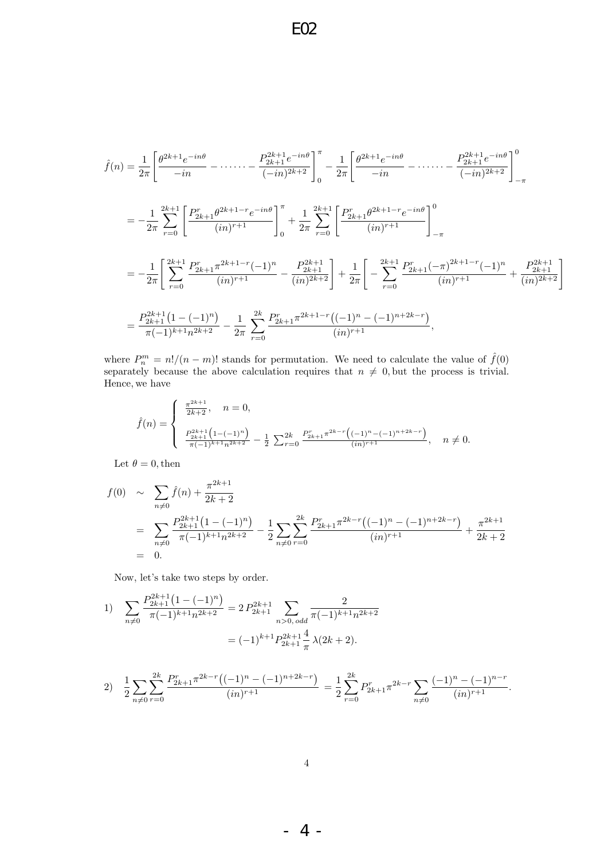$$
\hat{f}(n) = \frac{1}{2\pi} \left[ \frac{\theta^{2k+1} e^{-in\theta}}{-in} - \dots - \frac{P_{2k+1}^{2k+1} e^{-in\theta}}{(-in)^{2k+2}} \right]_0^{\pi} - \frac{1}{2\pi} \left[ \frac{\theta^{2k+1} e^{-in\theta}}{-in} - \dots - \frac{P_{2k+1}^{2k+1} e^{-in\theta}}{(-in)^{2k+2}} \right]_{-\pi}^0
$$
\n
$$
= -\frac{1}{2\pi} \sum_{r=0}^{2k+1} \left[ \frac{P_{2k+1}^r \theta^{2k+1-r} e^{-in\theta}}{(in)^{r+1}} \right]_0^{\pi} + \frac{1}{2\pi} \sum_{r=0}^{2k+1} \left[ \frac{P_{2k+1}^r \theta^{2k+1-r} e^{-in\theta}}{(in)^{r+1}} \right]_{-\pi}^0
$$
\n
$$
= -\frac{1}{2\pi} \left[ \sum_{r=0}^{2k+1} \frac{P_{2k+1}^r \pi^{2k+1-r} (-1)^n}{(in)^{r+1}} - \frac{P_{2k+1}^{2k+1}}{(in)^{2k+2}} \right] + \frac{1}{2\pi} \left[ -\sum_{r=0}^{2k+1} \frac{P_{2k+1}^r (-\pi)^{2k+1-r} (-1)^n}{(in)^{r+1}} + \frac{P_{2k+1}^{2k+1}}{(in)^{2k+2}} \right]
$$
\n
$$
= \frac{P_{2k+1}^{2k+1} (1 - (-1)^n)}{\pi (-1)^{k+1} n^{2k+2}} - \frac{1}{2\pi} \sum_{r=0}^{2k} \frac{P_{2k+1}^r \pi^{2k+1-r} (1 - (-1)^n - (-1)^{n+2k-r})}{(in)^{r+1}},
$$

where  $P_n^m = n!/(n-m)!$  stands for permutation. We need to calculate the value of  $\hat{f}(0)$ separately because the above calculation requires that  $n \neq 0$ , but the process is trivial. Hence, we have

$$
\hat{f}(n) = \begin{cases}\n\frac{\pi^{2k+1}}{2k+2}, & n = 0, \\
\frac{P_{2k+1}^{2k+1} \left(1 - (-1)^n\right)}{\pi (-1)^{k+1} n^{2k+2}} - \frac{1}{2} \sum_{r=0}^{2k} \frac{P_{2k+1}^r \pi^{2k-r} \left((-1)^n - (-1)^{n+2k-r}\right)}{(in)^{r+1}}, & n \neq 0.\n\end{cases}
$$

Let  $\theta = 0$ , then

$$
f(0) \sim \sum_{n \neq 0} \hat{f}(n) + \frac{\pi^{2k+1}}{2k+2}
$$
  
= 
$$
\sum_{n \neq 0} \frac{P_{2k+1}^{2k+1} (1 - (-1)^n)}{\pi (-1)^{k+1} n^{2k+2}} - \frac{1}{2} \sum_{n \neq 0} \sum_{r=0}^{2k} \frac{P_{2k+1}^r \pi^{2k-r} ((-1)^n - (-1)^{n+2k-r})}{(in)^{r+1}} + \frac{\pi^{2k+1}}{2k+2}
$$
  
= 0.

Now, let's take two steps by order.

1) 
$$
\sum_{n\neq 0} \frac{P_{2k+1}^{2k+1} (1 - (-1)^n)}{\pi (-1)^{k+1} n^{2k+2}} = 2 P_{2k+1}^{2k+1} \sum_{n>0, odd} \frac{2}{\pi (-1)^{k+1} n^{2k+2}}
$$

$$
= (-1)^{k+1} P_{2k+1}^{2k+1} \frac{4}{\pi} \lambda (2k+2).
$$

2) 
$$
\frac{1}{2} \sum_{n \neq 0} \sum_{r=0}^{2k} \frac{P_{2k+1}^r \pi^{2k-r} ((-1)^n - (-1)^{n+2k-r})}{(in)^{r+1}} = \frac{1}{2} \sum_{r=0}^{2k} P_{2k+1}^r \pi^{2k-r} \sum_{n \neq 0} \frac{(-1)^n - (-1)^{n-r}}{(in)^{r+1}}.
$$

- 4 -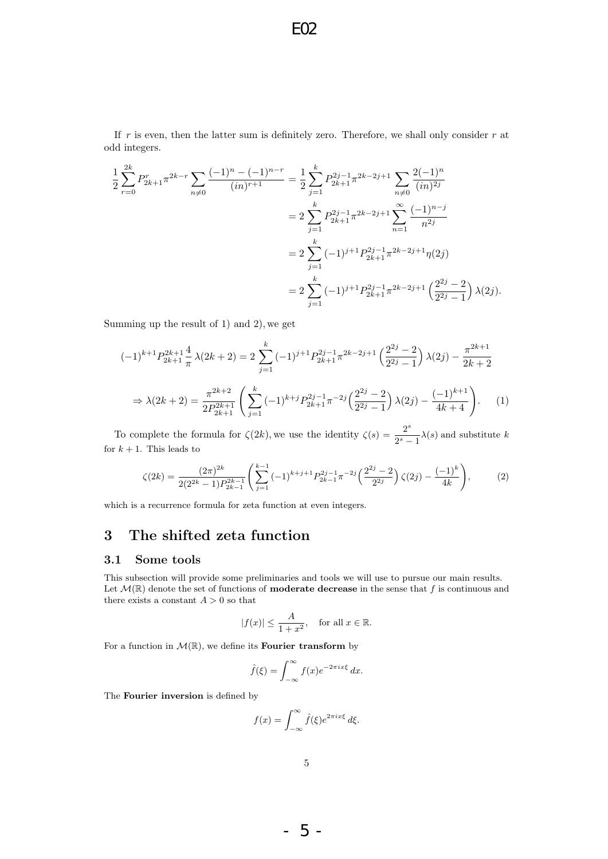If  $r$  is even, then the latter sum is definitely zero. Therefore, we shall only consider  $r$  at odd integers.

$$
\frac{1}{2} \sum_{r=0}^{2k} P_{2k+1}^r \pi^{2k-r} \sum_{n \neq 0} \frac{(-1)^n - (-1)^{n-r}}{(in)^{r+1}} = \frac{1}{2} \sum_{j=1}^k P_{2k+1}^{2j-1} \pi^{2k-2j+1} \sum_{n \neq 0} \frac{2(-1)^n}{(in)^{2j}}
$$

$$
= 2 \sum_{j=1}^k P_{2k+1}^{2j-1} \pi^{2k-2j+1} \sum_{n=1}^\infty \frac{(-1)^{n-j}}{n^{2j}}
$$

$$
= 2 \sum_{j=1}^k (-1)^{j+1} P_{2k+1}^{2j-1} \pi^{2k-2j+1} \eta(2j)
$$

$$
= 2 \sum_{j=1}^k (-1)^{j+1} P_{2k+1}^{2j-1} \pi^{2k-2j+1} \left(\frac{2^{2j}-2}{2^{2j}-1}\right) \lambda(2j).
$$

Summing up the result of 1) and 2), we get

$$
(-1)^{k+1} P_{2k+1}^{2k+1} \frac{4}{\pi} \lambda(2k+2) = 2 \sum_{j=1}^{k} (-1)^{j+1} P_{2k+1}^{2j-1} \pi^{2k-2j+1} \left(\frac{2^{2j}-2}{2^{2j}-1}\right) \lambda(2j) - \frac{\pi^{2k+1}}{2k+2}
$$

$$
\Rightarrow \lambda(2k+2) = \frac{\pi^{2k+2}}{2P_{2k+1}^{2k+1}} \left(\sum_{j=1}^{k} (-1)^{k+j} P_{2k+1}^{2j-1} \pi^{-2j} \left(\frac{2^{2j}-2}{2^{2j}-1}\right) \lambda(2j) - \frac{(-1)^{k+1}}{4k+4}\right). \tag{1}
$$

To complete the formula for  $\zeta(2k)$ , we use the identity  $\zeta(s) = \frac{2^s}{2s}$  $\frac{2}{2^{s}-1}\lambda(s)$  and substitute k for  $k + 1$ . This leads to

$$
\zeta(2k) = \frac{(2\pi)^{2k}}{2(2^{2k}-1)P_{2k-1}^{2k-1}} \left( \sum_{j=1}^{k-1} (-1)^{k+j+1} P_{2k-1}^{2j-1} \pi^{-2j} \left( \frac{2^{2j}-2}{2^{2j}} \right) \zeta(2j) - \frac{(-1)^k}{4k} \right),\tag{2}
$$

which is a recurrence formula for zeta function at even integers.

# 3 The shifted zeta function

#### 3.1 Some tools

This subsection will provide some preliminaries and tools we will use to pursue our main results. Let  $\mathcal{M}(\mathbb{R})$  denote the set of functions of **moderate decrease** in the sense that f is continuous and there exists a constant  $A > 0$  so that

$$
|f(x)| \le \frac{A}{1+x^2}, \quad \text{for all } x \in \mathbb{R}.
$$

For a function in  $\mathcal{M}(\mathbb{R})$ , we define its **Fourier transform** by

$$
\hat{f}(\xi) = \int_{-\infty}^{\infty} f(x)e^{-2\pi ix\xi} dx.
$$

The Fourier inversion is defined by

$$
f(x) = \int_{-\infty}^{\infty} \hat{f}(\xi) e^{2\pi i x \xi} d\xi.
$$

- 5 -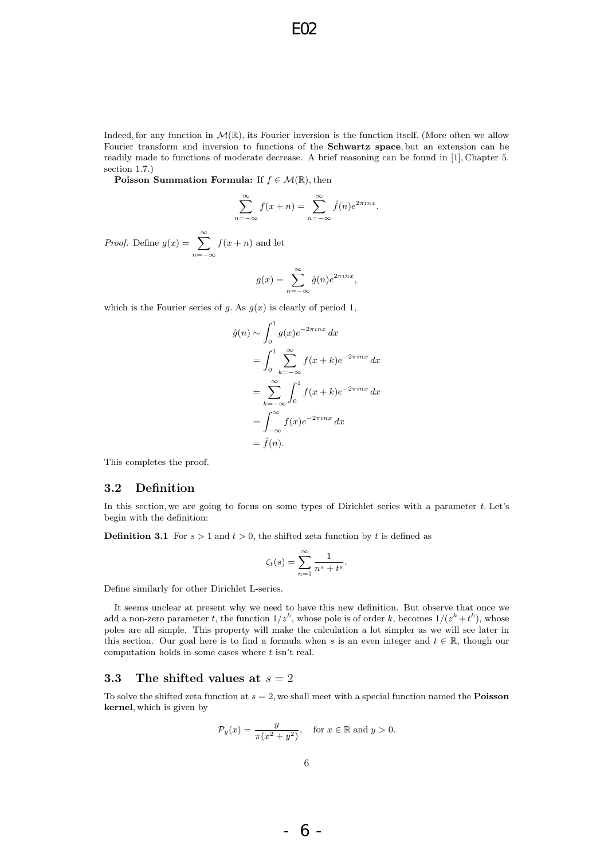Indeed, for any function in  $\mathcal{M}(\mathbb{R})$ , its Fourier inversion is the function itself. (More often we allow Fourier transform and inversion to functions of the Schwartz space, but an extension can be readily made to functions of moderate decrease. A brief reasoning can be found in [1], Chapter 5. section 1.7.)

**Poisson Summation Formula:** If  $f \in \mathcal{M}(\mathbb{R})$ , then

$$
\sum_{n=-\infty}^{\infty} f(x+n) = \sum_{n=-\infty}^{\infty} \hat{f}(n)e^{2\pi inx}.
$$

*Proof.* Define  $g(x) = \sum_{n=0}^{\infty}$  $n=-\infty$  $f(x + n)$  and let

$$
g(x) = \sum_{n = -\infty}^{\infty} \hat{g}(n)e^{2\pi i nx},
$$

which is the Fourier series of g. As  $g(x)$  is clearly of period 1,

$$
\hat{g}(n) \sim \int_0^1 g(x)e^{-2\pi inx} dx
$$
  
= 
$$
\int_0^1 \sum_{k=-\infty}^{\infty} f(x+k)e^{-2\pi inx} dx
$$
  
= 
$$
\sum_{k=-\infty}^{\infty} \int_0^1 f(x+k)e^{-2\pi inx} dx
$$
  
= 
$$
\int_{-\infty}^{\infty} f(x)e^{-2\pi inx} dx
$$
  
= 
$$
\hat{f}(n).
$$

This completes the proof.

#### 3.2 Definition

In this section, we are going to focus on some types of Dirichlet series with a parameter  $t$ . Let's begin with the definition:

**Definition 3.1** For  $s > 1$  and  $t > 0$ , the shifted zeta function by t is defined as

$$
\zeta_t(s) = \sum_{n=1}^{\infty} \frac{1}{n^s + t^s}.
$$

Define similarly for other Dirichlet L-series.

It seems unclear at present why we need to have this new definition. But observe that once we add a non-zero parameter t, the function  $1/z^k$ , whose pole is of order k, becomes  $1/(z^k + t^k)$ , whose poles are all simple. This property will make the calculation a lot simpler as we will see later in this section. Our goal here is to find a formula when s is an even integer and  $t \in \mathbb{R}$ , though our computation holds in some cases where  $t$  isn't real.

#### 3.3 The shifted values at  $s = 2$

To solve the shifted zeta function at  $s = 2$ , we shall meet with a special function named the **Poisson** kernel, which is given by

$$
\mathcal{P}_y(x) = \frac{y}{\pi(x^2 + y^2)}, \quad \text{for } x \in \mathbb{R} \text{ and } y > 0.
$$

- 6 -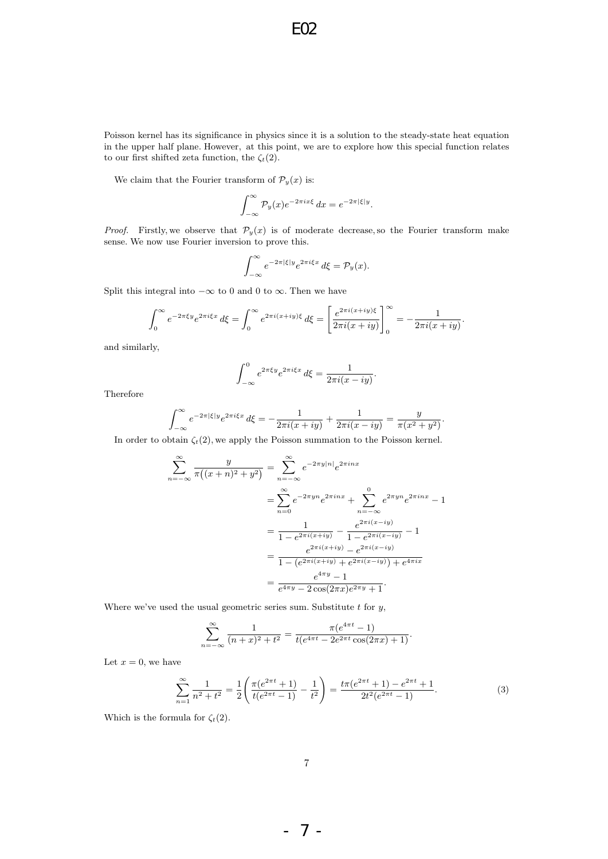Poisson kernel has its significance in physics since it is a solution to the steady-state heat equation in the upper half plane. However, at this point, we are to explore how this special function relates to our first shifted zeta function, the  $\zeta_t(2)$ .

We claim that the Fourier transform of  $\mathcal{P}_y(x)$  is:

$$
\int_{-\infty}^{\infty} \mathcal{P}_y(x) e^{-2\pi ix\xi} dx = e^{-2\pi |\xi| y}.
$$

*Proof.* Firstly, we observe that  $\mathcal{P}_y(x)$  is of moderate decrease, so the Fourier transform make sense. We now use Fourier inversion to prove this.

$$
\int_{-\infty}^{\infty} e^{-2\pi|\xi|y} e^{2\pi i \xi x} d\xi = \mathcal{P}_y(x).
$$

Split this integral into  $-\infty$  to 0 and 0 to  $\infty$ . Then we have

$$
\int_0^\infty e^{-2\pi\xi y} e^{2\pi i \xi x} d\xi = \int_0^\infty e^{2\pi i (x+iy)\xi} d\xi = \left[ \frac{e^{2\pi i (x+iy)\xi}}{2\pi i (x+iy)} \right]_0^\infty = -\frac{1}{2\pi i (x+iy)}.
$$

and similarly,

$$
\int_{-\infty}^{0} e^{2\pi \xi y} e^{2\pi i \xi x} d\xi = \frac{1}{2\pi i (x - iy)}.
$$

Therefore

$$
\int_{-\infty}^{\infty} e^{-2\pi|\xi|y} e^{2\pi i\xi x} d\xi = -\frac{1}{2\pi i(x+iy)} + \frac{1}{2\pi i(x-iy)} = \frac{y}{\pi(x^2+y^2)}.
$$

In order to obtain  $\zeta_t(2)$ , we apply the Poisson summation to the Poisson kernel.

$$
\sum_{n=-\infty}^{\infty} \frac{y}{\pi((x+n)^2 + y^2)} = \sum_{n=-\infty}^{\infty} e^{-2\pi y|n|} e^{2\pi inx}
$$
  
= 
$$
\sum_{n=0}^{\infty} e^{-2\pi yn} e^{2\pi inx} + \sum_{n=-\infty}^{0} e^{2\pi yn} e^{2\pi inx} - 1
$$
  
= 
$$
\frac{1}{1 - e^{2\pi i(x+iy)}} - \frac{e^{2\pi i(x-iy)}}{1 - e^{2\pi i(x-iy)}} - 1
$$
  
= 
$$
\frac{e^{2\pi i(x+iy)} - e^{2\pi i(x-iy)}}{1 - (e^{2\pi i(x+iy)} + e^{2\pi i(x-iy)}) + e^{4\pi i x}}
$$
  
= 
$$
\frac{e^{4\pi y} - 1}{e^{4\pi y} - 2\cos(2\pi x)e^{2\pi y} + 1}.
$$

Where we've used the usual geometric series sum. Substitute  $t$  for  $y$ ,

$$
\sum_{n=-\infty}^{\infty} \frac{1}{(n+x)^2 + t^2} = \frac{\pi (e^{4\pi t} - 1)}{t(e^{4\pi t} - 2e^{2\pi t} \cos(2\pi x) + 1)}.
$$

Let  $x = 0$ , we have

$$
\sum_{n=1}^{\infty} \frac{1}{n^2 + t^2} = \frac{1}{2} \left( \frac{\pi (e^{2\pi t} + 1)}{t(e^{2\pi t} - 1)} - \frac{1}{t^2} \right) = \frac{t\pi (e^{2\pi t} + 1) - e^{2\pi t} + 1}{2t^2(e^{2\pi t} - 1)}.
$$
(3)

Which is the formula for  $\zeta_t(2)$ .

- 7 -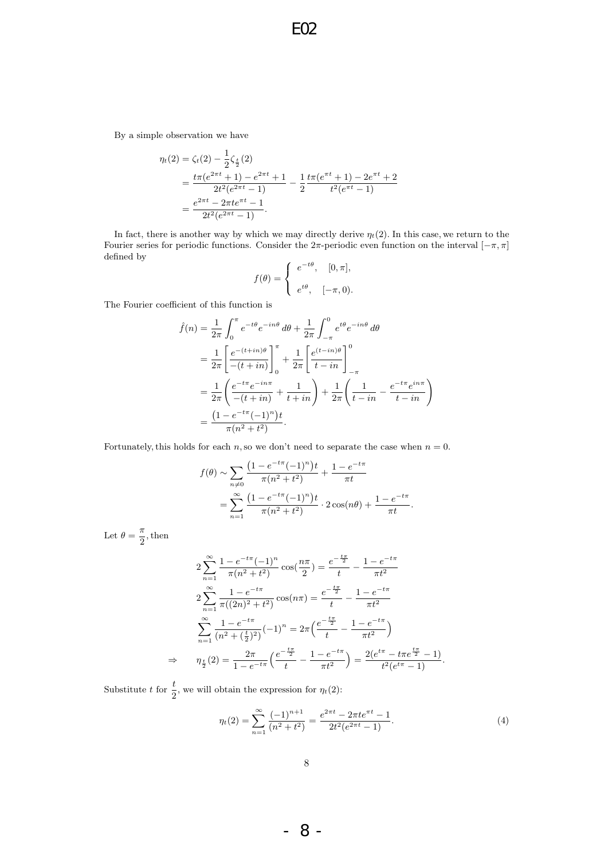By a simple observation we have

$$
\eta_t(2) = \zeta_t(2) - \frac{1}{2}\zeta_{\frac{t}{2}}(2)
$$
  
= 
$$
\frac{t\pi(e^{2\pi t} + 1) - e^{2\pi t} + 1}{2t^2(e^{2\pi t} - 1)} - \frac{1}{2}\frac{t\pi(e^{\pi t} + 1) - 2e^{\pi t} + 2}{t^2(e^{\pi t} - 1)}
$$
  
= 
$$
\frac{e^{2\pi t} - 2\pi t e^{\pi t} - 1}{2t^2(e^{2\pi t} - 1)}.
$$

In fact, there is another way by which we may directly derive  $\eta_t(2)$ . In this case, we return to the Fourier series for periodic functions. Consider the  $2\pi$ -periodic even function on the interval  $[-\pi, \pi]$ defined by

$$
f(\theta) = \begin{cases} e^{-t\theta}, & [0, \pi], \\ e^{t\theta}, & [-\pi, 0). \end{cases}
$$

The Fourier coefficient of this function is

$$
\hat{f}(n) = \frac{1}{2\pi} \int_0^{\pi} e^{-t\theta} e^{-in\theta} d\theta + \frac{1}{2\pi} \int_{-\pi}^0 e^{t\theta} e^{-in\theta} d\theta \n= \frac{1}{2\pi} \left[ \frac{e^{-(t+in)\theta}}{-(t+in)} \right]_0^{\pi} + \frac{1}{2\pi} \left[ \frac{e^{(t-in)\theta}}{t-in} \right]_{-\pi}^0 \n= \frac{1}{2\pi} \left( \frac{e^{-t\pi} e^{-in\pi}}{-(t+in)} + \frac{1}{t+in} \right) + \frac{1}{2\pi} \left( \frac{1}{t-in} - \frac{e^{-t\pi} e^{in\pi}}{t-in} \right) \n= \frac{(1 - e^{-t\pi} (-1)^n)t}{\pi (n^2 + t^2)}.
$$

Fortunately, this holds for each  $n$ , so we don't need to separate the case when  $n = 0$ .

$$
f(\theta) \sim \sum_{n\neq 0} \frac{\left(1 - e^{-t\pi}(-1)^n\right)t}{\pi(n^2 + t^2)} + \frac{1 - e^{-t\pi}}{\pi t}
$$
  
= 
$$
\sum_{n=1}^{\infty} \frac{\left(1 - e^{-t\pi}(-1)^n\right)t}{\pi(n^2 + t^2)} \cdot 2\cos(n\theta) + \frac{1 - e^{-t\pi}}{\pi t}.
$$

Let  $\theta = \frac{\pi}{2}$  $\frac{\pi}{2}$ , then

$$
2\sum_{n=1}^{\infty} \frac{1 - e^{-t\pi}(-1)^n}{\pi(n^2 + t^2)} \cos(\frac{n\pi}{2}) = \frac{e^{-\frac{t\pi}{2}}}{t} - \frac{1 - e^{-t\pi}}{\pi t^2}
$$

$$
2\sum_{n=1}^{\infty} \frac{1 - e^{-t\pi}}{\pi((2n)^2 + t^2)} \cos(n\pi) = \frac{e^{-\frac{t\pi}{2}}}{t} - \frac{1 - e^{-t\pi}}{\pi t^2}
$$

$$
\sum_{n=1}^{\infty} \frac{1 - e^{-t\pi}}{(n^2 + (\frac{t}{2})^2)} (-1)^n = 2\pi \left(\frac{e^{-\frac{t\pi}{2}}}{t} - \frac{1 - e^{-t\pi}}{\pi t^2}\right)
$$

$$
\Rightarrow \eta_{\frac{t}{2}}(2) = \frac{2\pi}{1 - e^{-t\pi}} \left(\frac{e^{-\frac{t\pi}{2}}}{t} - \frac{1 - e^{-t\pi}}{\pi t^2}\right) = \frac{2(e^{t\pi} - t\pi e^{\frac{t\pi}{2}} - 1)}{t^2(e^{t\pi} - 1)}.
$$

Substitute t for  $\frac{t}{2}$ , we will obtain the expression for  $\eta_t(2)$ :

$$
\eta_t(2) = \sum_{n=1}^{\infty} \frac{(-1)^{n+1}}{(n^2 + t^2)} = \frac{e^{2\pi t} - 2\pi t e^{\pi t} - 1}{2t^2(e^{2\pi t} - 1)}.
$$
\n(4)

- 8 -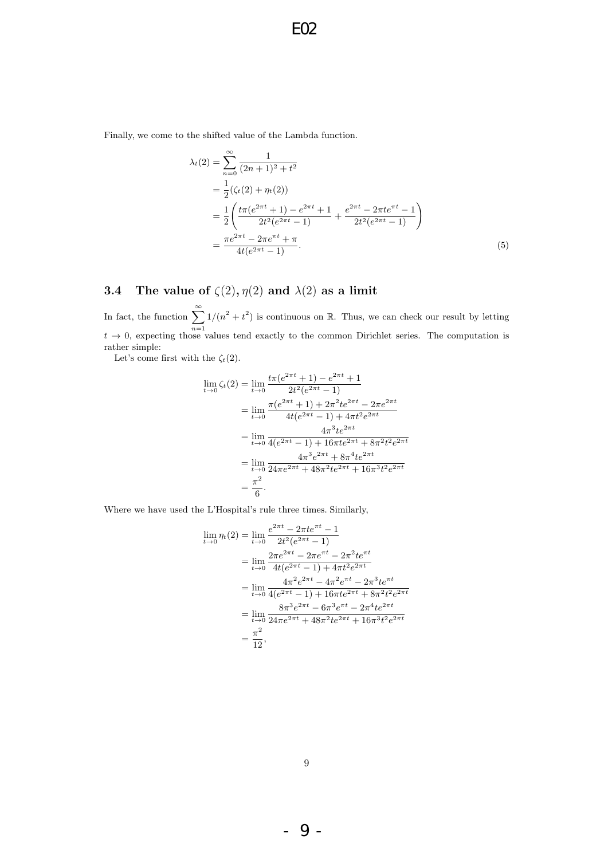Finally, we come to the shifted value of the Lambda function.

$$
\lambda_t(2) = \sum_{n=0}^{\infty} \frac{1}{(2n+1)^2 + t^2}
$$
  
=  $\frac{1}{2} (\zeta_t(2) + \eta_t(2))$   
=  $\frac{1}{2} \left( \frac{t\pi(e^{2\pi t} + 1) - e^{2\pi t} + 1}{2t^2(e^{2\pi t} - 1)} + \frac{e^{2\pi t} - 2\pi t e^{\pi t} - 1}{2t^2(e^{2\pi t} - 1)} \right)$   
=  $\frac{\pi e^{2\pi t} - 2\pi e^{\pi t} + \pi}{4t(e^{2\pi t} - 1)}.$  (5)

# 3.4 The value of  $\zeta(2), \eta(2)$  and  $\lambda(2)$  as a limit

In fact, the function  $\sum_{n=1}^{\infty}$  $n=1$  $1/(n^2 + t^2)$  is continuous on R. Thus, we can check our result by letting  $t \to 0$ , expecting those values tend exactly to the common Dirichlet series. The computation is rather simple:

Let's come first with the  $\zeta_t(2)$ .

$$
\lim_{t \to 0} \zeta_t(2) = \lim_{t \to 0} \frac{t\pi(e^{2\pi t} + 1) - e^{2\pi t} + 1}{2t^2(e^{2\pi t} - 1)}
$$
\n
$$
= \lim_{t \to 0} \frac{\pi(e^{2\pi t} + 1) + 2\pi^2 t e^{2\pi t} - 2\pi e^{2\pi t}}{4t(e^{2\pi t} - 1) + 4\pi t^2 e^{2\pi t}}
$$
\n
$$
= \lim_{t \to 0} \frac{4\pi^3 t e^{2\pi t}}{4(e^{2\pi t} - 1) + 16\pi t e^{2\pi t} + 8\pi^2 t^2 e^{2\pi t}}
$$
\n
$$
= \lim_{t \to 0} \frac{4\pi^3 e^{2\pi t} + 8\pi^4 t e^{2\pi t}}{24\pi e^{2\pi t} + 48\pi^2 t e^{2\pi t} + 16\pi^3 t^2 e^{2\pi t}}
$$
\n
$$
= \frac{\pi^2}{6}.
$$

Where we have used the L'Hospital's rule three times. Similarly,

$$
\lim_{t \to 0} \eta_t(2) = \lim_{t \to 0} \frac{e^{2\pi t} - 2\pi t e^{\pi t} - 1}{2t^2 (e^{2\pi t} - 1)}
$$
\n
$$
= \lim_{t \to 0} \frac{2\pi e^{2\pi t} - 2\pi e^{\pi t} - 2\pi^2 t e^{\pi t}}{4t (e^{2\pi t} - 1) + 4\pi t^2 e^{2\pi t}}
$$
\n
$$
= \lim_{t \to 0} \frac{4\pi^2 e^{2\pi t} - 4\pi^2 e^{\pi t} - 2\pi^3 t e^{\pi t}}{4(e^{2\pi t} - 1) + 16\pi t e^{2\pi t} + 8\pi^2 t^2 e^{2\pi t}}
$$
\n
$$
= \lim_{t \to 0} \frac{8\pi^3 e^{2\pi t} - 6\pi^3 e^{\pi t} - 2\pi^4 t e^{2\pi t}}{24\pi e^{2\pi t} + 48\pi^2 t e^{2\pi t} + 16\pi^3 t^2 e^{2\pi t}}
$$
\n
$$
= \frac{\pi^2}{12},
$$

- 9 -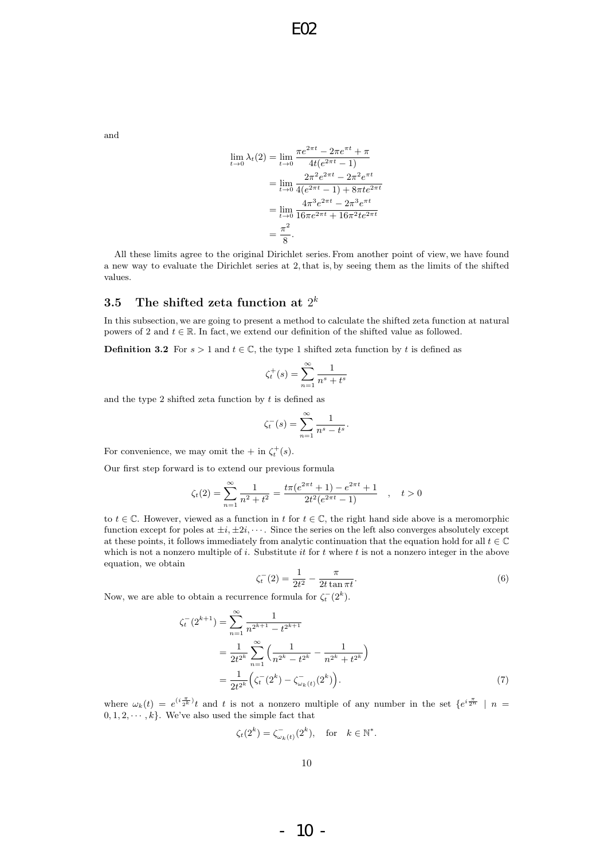and

$$
\lim_{t \to 0} \lambda_t(2) = \lim_{t \to 0} \frac{\pi e^{2\pi t} - 2\pi e^{\pi t} + \pi}{4t(e^{2\pi t} - 1)}
$$

$$
= \lim_{t \to 0} \frac{2\pi^2 e^{2\pi t} - 2\pi^2 e^{\pi t}}{4(e^{2\pi t} - 1) + 8\pi t e^{2\pi t}}
$$

$$
= \lim_{t \to 0} \frac{4\pi^3 e^{2\pi t} - 2\pi^3 e^{\pi t}}{16\pi e^{2\pi t} + 16\pi^2 t e^{2\pi t}}
$$

$$
= \frac{\pi^2}{8}.
$$

All these limits agree to the original Dirichlet series. From another point of view, we have found a new way to evaluate the Dirichlet series at 2, that is, by seeing them as the limits of the shifted values.

### $3.5$  The shifted zeta function at  $2^k$

In this subsection, we are going to present a method to calculate the shifted zeta function at natural powers of 2 and  $t \in \mathbb{R}$ . In fact, we extend our definition of the shifted value as followed.

**Definition 3.2** For  $s > 1$  and  $t \in \mathbb{C}$ , the type 1 shifted zeta function by t is defined as

$$
\zeta_t^+(s) = \sum_{n=1}^{\infty} \frac{1}{n^s + t^s}
$$

and the type 2 shifted zeta function by  $t$  is defined as

$$
\zeta_t^-(s) = \sum_{n=1}^\infty \frac{1}{n^s - t^s}.
$$

For convenience, we may omit the  $+$  in  $\zeta_t^+(s)$ .

Our first step forward is to extend our previous formula

$$
\zeta_t(2) = \sum_{n=1}^{\infty} \frac{1}{n^2 + t^2} = \frac{t\pi(e^{2\pi t} + 1) - e^{2\pi t} + 1}{2t^2(e^{2\pi t} - 1)}, \quad t > 0
$$

to  $t \in \mathbb{C}$ . However, viewed as a function in t for  $t \in \mathbb{C}$ , the right hand side above is a meromorphic function except for poles at  $\pm i$ ,  $\pm 2i$ ,  $\cdots$ . Since the series on the left also converges absolutely except at these points, it follows immediately from analytic continuation that the equation hold for all  $t \in \mathbb{C}$ which is not a nonzero multiple of i. Substitute it for t where t is not a nonzero integer in the above equation, we obtain

$$
\zeta_t^-(2) = \frac{1}{2t^2} - \frac{\pi}{2t\tan\pi t}.
$$
\n(6)

Now, we are able to obtain a recurrence formula for  $\zeta_t^-(2^k)$ .

$$
\zeta_t^-(2^{k+1}) = \sum_{n=1}^{\infty} \frac{1}{n^{2^{k+1}} - t^{2^{k+1}}}
$$
  
= 
$$
\frac{1}{2t^{2^k}} \sum_{n=1}^{\infty} \left( \frac{1}{n^{2^k} - t^{2^k}} - \frac{1}{n^{2^k} + t^{2^k}} \right)
$$
  
= 
$$
\frac{1}{2t^{2^k}} \left( \zeta_t^-(2^k) - \zeta_{\omega_k(t)}^-(2^k) \right).
$$
 (7)

where  $\omega_k(t) = e^{(i\frac{\pi}{2^k})}t$  and t is not a nonzero multiple of any number in the set  $\{e^{i\frac{\pi}{2^n}} \mid n =$  $0, 1, 2, \dots, k$ . We've also used the simple fact that

$$
\zeta_t(2^k) = \zeta^-_{\omega_k(t)}(2^k), \quad \text{for} \quad k \in \mathbb{N}^*.
$$

- 10 -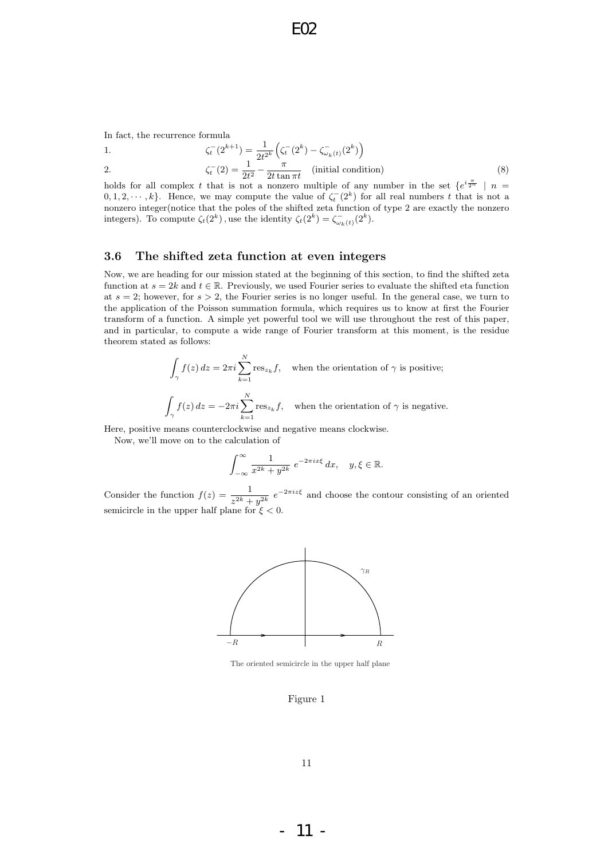In fact, the recurrence formula

1. 
$$
\zeta_t^-(2^{k+1}) = \frac{1}{2t^{2^k}} \left( \zeta_t^-(2^k) - \zeta_{\omega_k(t)}^-(2^k) \right)
$$

2.  $\zeta_t^-(2) = \frac{1}{2t^2} - \frac{\pi}{2t \tan \theta}$  $\frac{\pi}{2t\tan \pi t}$  (initial condition) (8)

holds for all complex t that is not a nonzero multiple of any number in the set  $\{e^{i\frac{\pi}{2^n}} \mid n =$  $(0, 1, 2, \dots, k)$ . Hence, we may compute the value of  $\zeta_t^-(2^k)$  for all real numbers t that is not a nonzero integer(notice that the poles of the shifted zeta function of type 2 are exactly the nonzero integers). To compute  $\zeta_t(2^k)$ , use the identity  $\zeta_t(2^k) = \zeta_{\omega_k(t)}^-(2^k)$ .

#### 3.6 The shifted zeta function at even integers

Now, we are heading for our mission stated at the beginning of this section, to find the shifted zeta function at  $s = 2k$  and  $t \in \mathbb{R}$ . Previously, we used Fourier series to evaluate the shifted eta function at  $s = 2$ ; however, for  $s > 2$ , the Fourier series is no longer useful. In the general case, we turn to the application of the Poisson summation formula, which requires us to know at first the Fourier transform of a function. A simple yet powerful tool we will use throughout the rest of this paper, and in particular, to compute a wide range of Fourier transform at this moment, is the residue theorem stated as follows:

$$
\int_{\gamma} f(z) dz = 2\pi i \sum_{k=1}^{N} \text{res}_{z_k} f, \text{ when the orientation of } \gamma \text{ is positive;}
$$
\n
$$
\int_{\gamma} f(z) dz = -2\pi i \sum_{k=1}^{N} \text{res}_{z_k} f, \text{ when the orientation of } \gamma \text{ is negative.}
$$

Here, positive means counterclockwise and negative means clockwise.

Now, we'll move on to the calculation of

$$
\int_{-\infty}^{\infty} \frac{1}{x^{2k} + y^{2k}} e^{-2\pi ix\xi} dx, \quad y, \xi \in \mathbb{R}.
$$

Consider the function  $f(z) = \frac{1}{z^{2k} + y^{2k}} e^{-2\pi iz\xi}$  and choose the contour consisting of an oriented semicircle in the upper half plane for  $\xi < 0$ .



The oriented semicircle in the upper half plane

#### Figure 1

- 11 -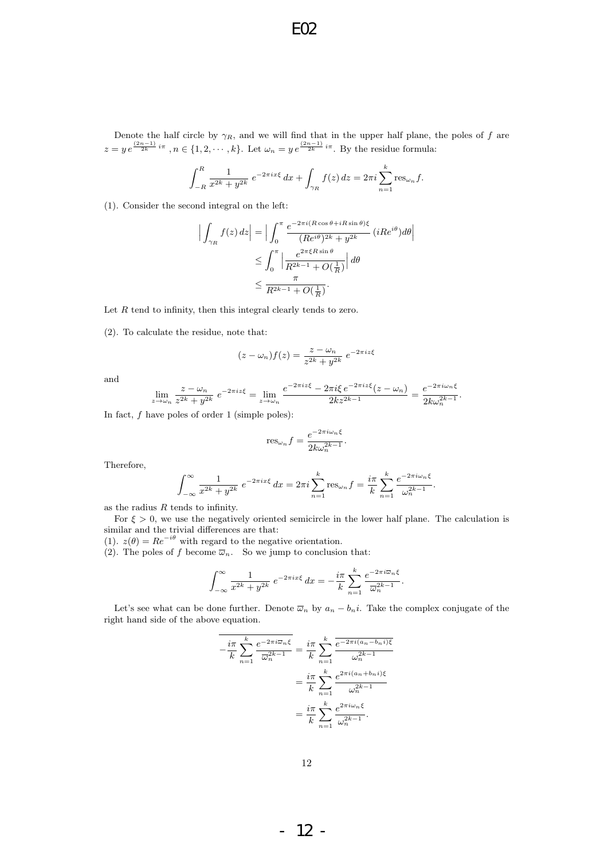Denote the half circle by  $\gamma_R$ , and we will find that in the upper half plane, the poles of f are  $z = y e^{\frac{(2n-1)}{2k}i\pi}, n \in \{1, 2, \cdots, k\}.$  Let  $\omega_n = y e^{\frac{(2n-1)}{2k}i\pi}$ . By the residue formula:

$$
\int_{-R}^{R} \frac{1}{x^{2k} + y^{2k}} e^{-2\pi ix\xi} dx + \int_{\gamma_R} f(z) dz = 2\pi i \sum_{n=1}^{k} \text{res}_{\omega_n} f.
$$

(1). Consider the second integral on the left:

$$
\left| \int_{\gamma_R} f(z) dz \right| = \left| \int_0^{\pi} \frac{e^{-2\pi i (R\cos\theta + iR\sin\theta)\xi}}{(Re^{i\theta})^{2k} + y^{2k}} (iRe^{i\theta}) d\theta \right|
$$
  

$$
\leq \int_0^{\pi} \left| \frac{e^{2\pi \xi R\sin\theta}}{R^{2k-1} + O(\frac{1}{R})} \right| d\theta
$$
  

$$
\leq \frac{\pi}{R^{2k-1} + O(\frac{1}{R})}.
$$

Let  $R$  tend to infinity, then this integral clearly tends to zero.

(2). To calculate the residue, note that:

$$
(z - \omega_n)f(z) = \frac{z - \omega_n}{z^{2k} + y^{2k}} e^{-2\pi i z \xi}
$$

and

$$
\lim_{z \to \omega_n} \frac{z - \omega_n}{z^{2k} + y^{2k}} e^{-2\pi i z \xi} = \lim_{z \to \omega_n} \frac{e^{-2\pi i z \xi} - 2\pi i \xi e^{-2\pi i z \xi} (z - \omega_n)}{2k z^{2k - 1}} = \frac{e^{-2\pi i \omega_n \xi}}{2k \omega_n^{2k - 1}}.
$$

In fact,  $f$  have poles of order 1 (simple poles):

$$
\operatorname{res}_{\omega_n} f = \frac{e^{-2\pi i \omega_n \xi}}{2k\omega_n^{2k-1}}.
$$

Therefore,

$$
\int_{-\infty}^{\infty} \frac{1}{x^{2k} + y^{2k}} e^{-2\pi ix\xi} dx = 2\pi i \sum_{n=1}^{k} \text{res}_{\omega_n} f = \frac{i\pi}{k} \sum_{n=1}^{k} \frac{e^{-2\pi i \omega_n \xi}}{\omega_n^{2k-1}}.
$$

as the radius  $R$  tends to infinity.

For  $\xi > 0$ , we use the negatively oriented semicircle in the lower half plane. The calculation is similar and the trivial differences are that:

(1).  $z(\theta) = Re^{-i\theta}$  with regard to the negative orientation.

(2). The poles of f become  $\overline{\omega}_n$ . So we jump to conclusion that:

$$
\int_{-\infty}^{\infty} \frac{1}{x^{2k} + y^{2k}} e^{-2\pi ix\xi} dx = -\frac{i\pi}{k} \sum_{n=1}^{k} \frac{e^{-2\pi i\overline{\omega}_n\xi}}{\overline{\omega}_n^{2k-1}}.
$$

Let's see what can be done further. Denote  $\overline{\omega}_n$  by  $a_n - b_n i$ . Take the complex conjugate of the right hand side of the above equation.

$$
\overline{-\frac{i\pi}{k}\sum_{n=1}^{k}\frac{e^{-2\pi i\overline{\omega}_{n}\xi}}{\overline{\omega}_{n}^{2k-1}}} = \frac{i\pi}{k}\sum_{n=1}^{k}\frac{\overline{e^{-2\pi i(a_{n}-b_{n}i)\xi}}}{\omega_{n}^{2k-1}}
$$

$$
= \frac{i\pi}{k}\sum_{n=1}^{k}\frac{e^{2\pi i(a_{n}+b_{n}i)\xi}}{\omega_{n}^{2k-1}}
$$

$$
= \frac{i\pi}{k}\sum_{n=1}^{k}\frac{e^{2\pi i\omega_{n}\xi}}{\omega_{n}^{2k-1}}.
$$

- 12 -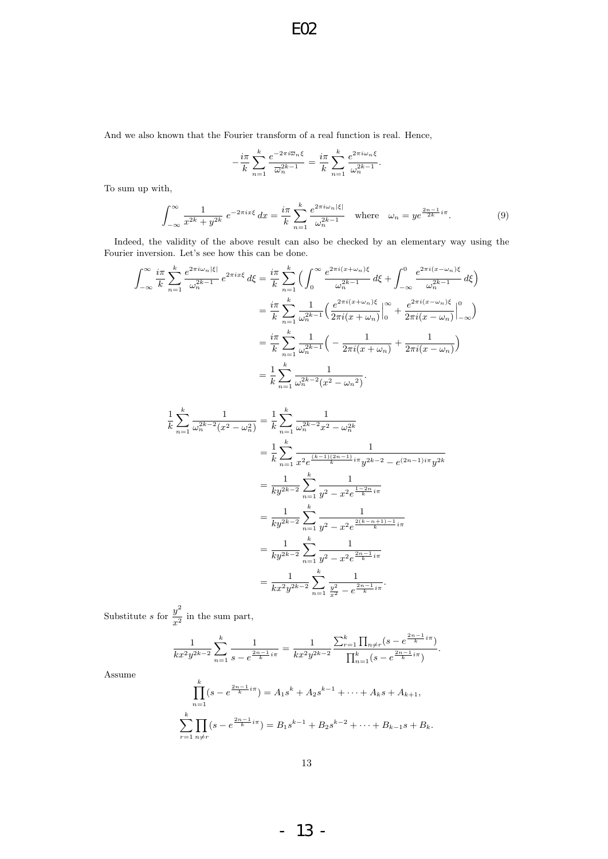And we also known that the Fourier transform of a real function is real. Hence,

$$
-\frac{i\pi}{k}\sum_{n=1}^k\frac{e^{-2\pi i\overline{\omega}_n\xi}}{\overline{\omega}_n^{2k-1}}=\frac{i\pi}{k}\sum_{n=1}^k\frac{e^{2\pi i\omega_n\xi}}{\omega_n^{2k-1}}.
$$

To sum up with,

$$
\int_{-\infty}^{\infty} \frac{1}{x^{2k} + y^{2k}} e^{-2\pi ix\xi} dx = \frac{i\pi}{k} \sum_{n=1}^{k} \frac{e^{2\pi i \omega_n |\xi|}}{\omega_n^{2k-1}} \quad \text{where} \quad \omega_n = y e^{\frac{2n-1}{2k}i\pi}.
$$
 (9)

Indeed, the validity of the above result can also be checked by an elementary way using the Fourier inversion. Let's see how this can be done.

$$
\int_{-\infty}^{\infty} \frac{i\pi}{k} \sum_{n=1}^{k} \frac{e^{2\pi i \omega_n |\xi|}}{\omega_n^{2k-1}} e^{2\pi i x \xi} d\xi = \frac{i\pi}{k} \sum_{n=1}^{k} \left( \int_{0}^{\infty} \frac{e^{2\pi i (x + \omega_n)\xi}}{\omega_n^{2k-1}} d\xi + \int_{-\infty}^{0} \frac{e^{2\pi i (x - \omega_n)\xi}}{\omega_n^{2k-1}} d\xi \right)
$$
  

$$
= \frac{i\pi}{k} \sum_{n=1}^{k} \frac{1}{\omega_n^{2k-1}} \left( \frac{e^{2\pi i (x + \omega_n)\xi}}{2\pi i (x + \omega_n)} \Big|_{0}^{\infty} + \frac{e^{2\pi i (x - \omega_n)\xi}}{2\pi i (x - \omega_n)} \Big|_{-\infty}^{0} \right)
$$
  

$$
= \frac{i\pi}{k} \sum_{n=1}^{k} \frac{1}{\omega_n^{2k-1}} \left( -\frac{1}{2\pi i (x + \omega_n)} + \frac{1}{2\pi i (x - \omega_n)} \right)
$$
  

$$
= \frac{1}{k} \sum_{n=1}^{k} \frac{1}{\omega_n^{2k-2} (x^2 - \omega_n^2)}.
$$

$$
\frac{1}{k} \sum_{n=1}^{k} \frac{1}{\omega_n^{2k-2}(x^2 - \omega_n^2)} = \frac{1}{k} \sum_{n=1}^{k} \frac{1}{\omega_n^{2k-2}x^2 - \omega_n^{2k}}
$$
\n
$$
= \frac{1}{k} \sum_{n=1}^{k} \frac{1}{x^2 e^{\frac{(k-1)(2n-1)}{k}i\pi} y^{2k-2} - e^{(2n-1)i\pi} y^{2k}}
$$
\n
$$
= \frac{1}{ky^{2k-2}} \sum_{n=1}^{k} \frac{1}{y^2 - x^2 e^{\frac{1-2n}{k}i\pi}}
$$
\n
$$
= \frac{1}{ky^{2k-2}} \sum_{n=1}^{k} \frac{1}{y^2 - x^2 e^{\frac{2(k-n+1)-1}{k}i\pi}}
$$
\n
$$
= \frac{1}{ky^{2k-2}} \sum_{n=1}^{k} \frac{1}{y^2 - x^2 e^{\frac{2n-1}{k}i\pi}}
$$
\n
$$
= \frac{1}{kx^2 y^{2k-2}} \sum_{n=1}^{k} \frac{1}{\frac{y^2}{x^2} - e^{\frac{2n-1}{k}i\pi}}.
$$

Substitute s for  $\frac{y^2}{2}$  $\frac{y}{x^2}$  in the sum part,

$$
\frac{1}{kx^2y^{2k-2}}\sum_{n=1}^k\frac{1}{s-e^{\frac{2n-1}{k}i\pi}}=\frac{1}{kx^2y^{2k-2}}\frac{\sum_{r=1}^k\prod_{n\neq r}(s-e^{\frac{2n-1}{k}i\pi})}{\prod_{n=1}^k(s-e^{\frac{2n-1}{k}i\pi})}.
$$

Assume

$$
\prod_{n=1}^{k} (s - e^{\frac{2n-1}{k}i\pi}) = A_1 s^{k} + A_2 s^{k-1} + \dots + A_k s + A_{k+1},
$$
  

$$
\sum_{r=1}^{k} \prod_{n \neq r} (s - e^{\frac{2n-1}{k}i\pi}) = B_1 s^{k-1} + B_2 s^{k-2} + \dots + B_{k-1} s + B_k.
$$

- 13 -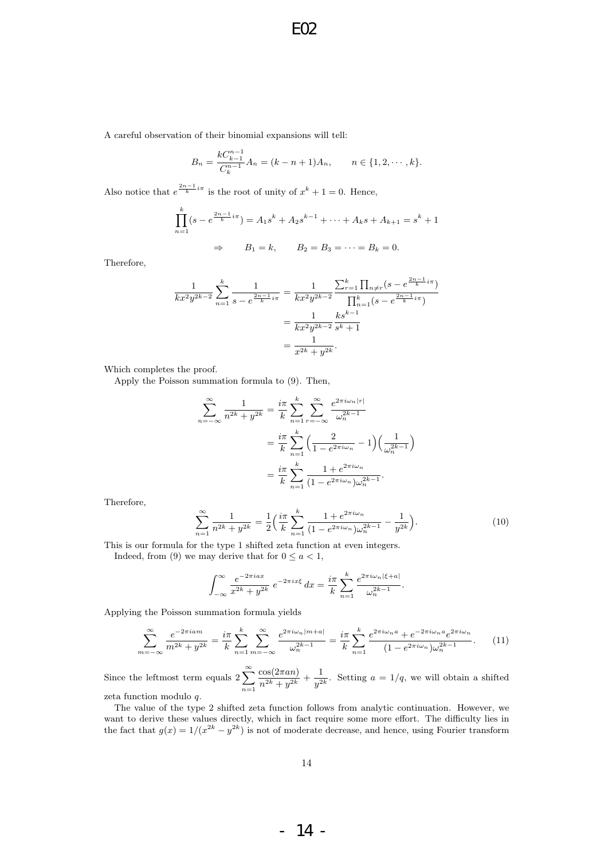A careful observation of their binomial expansions will tell:

$$
B_n = \frac{kC_{k-1}^{n-1}}{C_k^{n-1}} A_n = (k - n + 1)A_n, \qquad n \in \{1, 2, \cdots, k\}.
$$

Also notice that  $e^{\frac{2n-1}{k}i\pi}$  is the root of unity of  $x^k + 1 = 0$ . Hence,

$$
\prod_{n=1}^{k} (s - e^{\frac{2n-1}{k}i\pi}) = A_1 s^{k} + A_2 s^{k-1} + \dots + A_k s + A_{k+1} = s^{k} + 1
$$
  

$$
\Rightarrow \qquad B_1 = k, \qquad B_2 = B_3 = \dots = B_k = 0.
$$

Therefore,

$$
\frac{1}{kx^2y^{2k-2}} \sum_{n=1}^k \frac{1}{s - e^{\frac{2n-1}{k}i\pi}} = \frac{1}{kx^2y^{2k-2}} \frac{\sum_{r=1}^k \prod_{n \neq r} (s - e^{\frac{2n-1}{k}i\pi})}{\prod_{n=1}^k (s - e^{\frac{2n-1}{k}i\pi})}
$$

$$
= \frac{1}{kx^2y^{2k-2}} \frac{ks^{k-1}}{s^k + 1}
$$

$$
= \frac{1}{x^{2k} + y^{2k}}.
$$

Which completes the proof.

Apply the Poisson summation formula to (9). Then,

$$
\sum_{n=-\infty}^{\infty} \frac{1}{n^{2k} + y^{2k}} = \frac{i\pi}{k} \sum_{n=1}^{k} \sum_{r=-\infty}^{\infty} \frac{e^{2\pi i \omega_n |r|}}{\omega_n^{2k-1}}
$$

$$
= \frac{i\pi}{k} \sum_{n=1}^{k} \left( \frac{2}{1 - e^{2\pi i \omega_n}} - 1 \right) \left( \frac{1}{\omega_n^{2k-1}} \right)
$$

$$
= \frac{i\pi}{k} \sum_{n=1}^{k} \frac{1 + e^{2\pi i \omega_n}}{(1 - e^{2\pi i \omega_n}) \omega_n^{2k-1}}.
$$

Therefore,

$$
\sum_{n=1}^{\infty} \frac{1}{n^{2k} + y^{2k}} = \frac{1}{2} \left( \frac{i\pi}{k} \sum_{n=1}^{k} \frac{1 + e^{2\pi i \omega_n}}{(1 - e^{2\pi i \omega_n}) \omega_n^{2k - 1}} - \frac{1}{y^{2k}} \right).
$$
(10)

This is our formula for the type 1 shifted zeta function at even integers.

Indeed, from (9) we may derive that for  $0 \le a < 1$ ,

$$
\int_{-\infty}^{\infty} \frac{e^{-2\pi i a x}}{x^{2k} + y^{2k}} e^{-2\pi i x \xi} dx = \frac{i\pi}{k} \sum_{n=1}^{k} \frac{e^{2\pi i \omega_n |\xi + a|}}{\omega_n^{2k-1}}.
$$

Applying the Poisson summation formula yields

$$
\sum_{m=-\infty}^{\infty} \frac{e^{-2\pi i a m}}{m^{2k} + y^{2k}} = \frac{i\pi}{k} \sum_{n=1}^{k} \sum_{m=-\infty}^{\infty} \frac{e^{2\pi i \omega_n |m+a|}}{\omega_n^{2k-1}} = \frac{i\pi}{k} \sum_{n=1}^{k} \frac{e^{2\pi i \omega_n a} + e^{-2\pi i \omega_n a} e^{2\pi i \omega_n}}{(1 - e^{2\pi i \omega_n}) \omega_n^{2k-1}}.
$$
 (11)

Since the leftmost term equals  $2\sum_{n=1}^{\infty}$  $n=1$  $cos(2\pi a n)$  $\frac{\cos(2\pi a n)}{n^{2k} + y^{2k}} + \frac{1}{y^2}$  $\frac{1}{y^{2k}}$ . Setting  $a = 1/q$ , we will obtain a shifted zeta function modulo q.

The value of the type 2 shifted zeta function follows from analytic continuation. However, we want to derive these values directly, which in fact require some more effort. The difficulty lies in the fact that  $g(x) = 1/(x^{2k} - y^{2k})$  is not of moderate decrease, and hence, using Fourier transform

- 14 -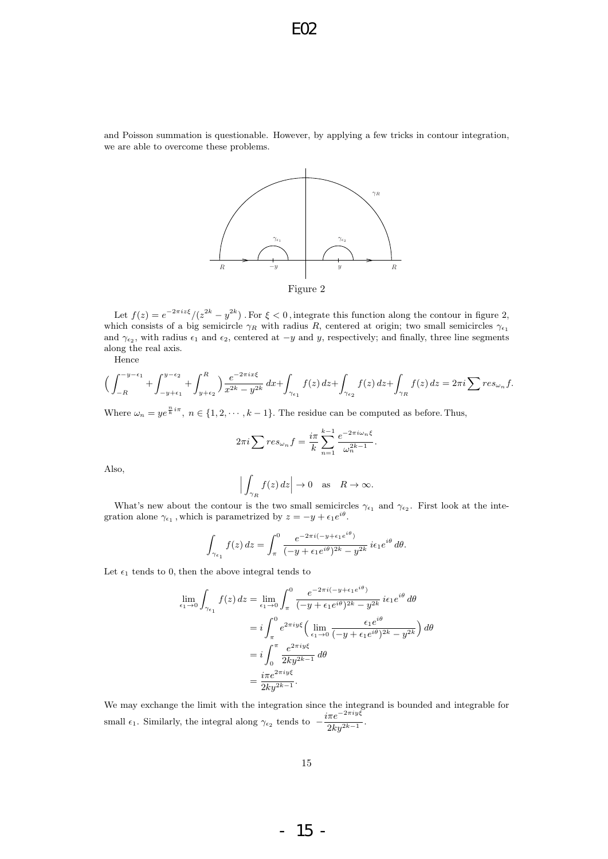and Poisson summation is questionable. However, by applying a few tricks in contour integration, we are able to overcome these problems.



Let  $f(z) = e^{-2\pi i z \xi} / (z^{2k} - y^{2k})$ . For  $\xi < 0$ , integrate this function along the contour in figure 2, which consists of a big semicircle  $\gamma_R$  with radius R, centered at origin; two small semicircles  $\gamma_{\epsilon_1}$ and  $\gamma_{\epsilon_2}$ , with radius  $\epsilon_1$  and  $\epsilon_2$ , centered at  $-y$  and y, respectively; and finally, three line segments along the real axis.

Hence

$$
\Big(\int_{-R}^{-y-\epsilon_1} + \int_{-y+\epsilon_1}^{y-\epsilon_2} + \int_{y+\epsilon_2}^{R} \Big) \frac{e^{-2\pi ix\xi}}{x^{2k} - y^{2k}} dx + \int_{\gamma_{\epsilon_1}} f(z) dz + \int_{\gamma_{\epsilon_2}} f(z) dz + \int_{\gamma_R} f(z) dz = 2\pi i \sum res_{\omega_n} f.
$$

Where  $\omega_n = y e^{\frac{n}{k}i\pi}$ ,  $n \in \{1, 2, \dots, k-1\}$ . The residue can be computed as before. Thus,

$$
2\pi i \sum res_{\omega_n} f = \frac{i\pi}{k} \sum_{n=1}^{k-1} \frac{e^{-2\pi i \omega_n \xi}}{\omega_n^{2k-1}}
$$

.

Also,

$$
\Big|\int_{\gamma_R} f(z) dz\Big| \to 0 \quad \text{as} \quad R \to \infty.
$$

What's new about the contour is the two small semicircles  $\gamma_{\epsilon_1}$  and  $\gamma_{\epsilon_2}$ . First look at the integration alone  $\gamma_{\epsilon_1}$ , which is parametrized by  $z = -y + \epsilon_1 e^{i\theta}$ .

$$
\int_{\gamma_{\epsilon_1}} f(z) dz = \int_{\pi}^0 \frac{e^{-2\pi i (-y + \epsilon_1 e^{i\theta})}}{(-y + \epsilon_1 e^{i\theta})^{2k} - y^{2k}} i\epsilon_1 e^{i\theta} d\theta.
$$

Let  $\epsilon_1$  tends to 0, then the above integral tends to

$$
\lim_{\epsilon_1 \to 0} \int_{\gamma_{\epsilon_1}} f(z) dz = \lim_{\epsilon_1 \to 0} \int_{\pi}^0 \frac{e^{-2\pi i (-y + \epsilon_1 e^{i\theta})}}{(-y + \epsilon_1 e^{i\theta})^{2k} - y^{2k}} i\epsilon_1 e^{i\theta} d\theta
$$

$$
= i \int_{\pi}^0 e^{2\pi i y \xi} \left( \lim_{\epsilon_1 \to 0} \frac{\epsilon_1 e^{i\theta}}{(-y + \epsilon_1 e^{i\theta})^{2k} - y^{2k}} \right) d\theta
$$

$$
= i \int_0^{\pi} \frac{e^{2\pi i y \xi}}{2ky^{2k-1}} d\theta
$$

$$
= \frac{i\pi e^{2\pi i y \xi}}{2ky^{2k-1}}.
$$

We may exchange the limit with the integration since the integrand is bounded and integrable for small  $\epsilon_1$ . Similarly, the integral along  $\gamma_{\epsilon_2}$  tends to  $-\frac{i\pi e^{-2\pi i y\xi}}{2k_2k_1}$  $\frac{2ky^{2k-1}}{2ky^{2k-1}}$ 

- 15 -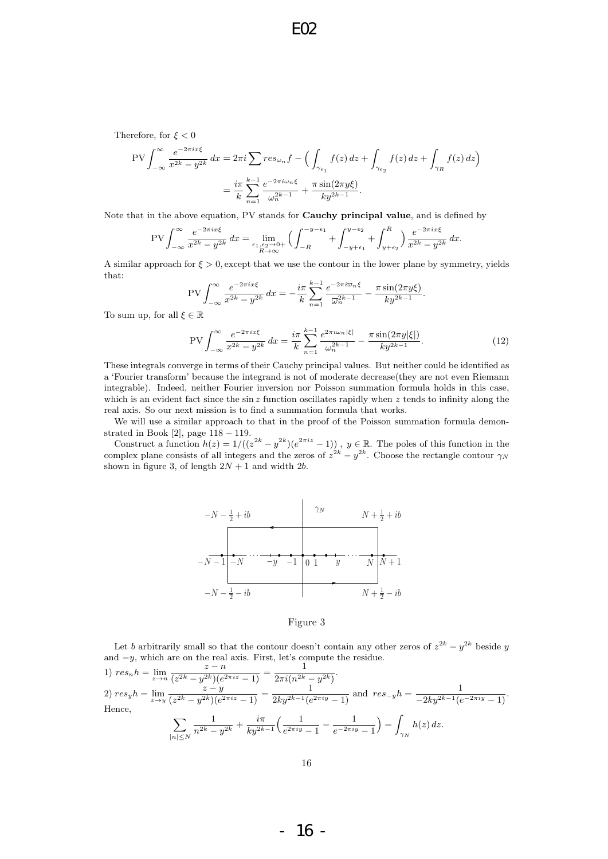Therefore, for  $\xi < 0$ 

$$
\text{PV} \int_{-\infty}^{\infty} \frac{e^{-2\pi ix\xi}}{x^{2k} - y^{2k}} \, dx = 2\pi i \sum r e s_{\omega_n} f - \left( \int_{\gamma_{\epsilon_1}} f(z) \, dz + \int_{\gamma_{\epsilon_2}} f(z) \, dz + \int_{\gamma_R} f(z) \, dz \right)
$$
\n
$$
= \frac{i\pi}{k} \sum_{n=1}^{k-1} \frac{e^{-2\pi i \omega_n \xi}}{\omega_n^{2k-1}} + \frac{\pi \sin(2\pi y \xi)}{ky^{2k-1}}.
$$

Note that in the above equation, PV stands for Cauchy principal value, and is defined by

$$
\text{PV}\int_{-\infty}^{\infty} \frac{e^{-2\pi ix\xi}}{x^{2k} - y^{2k}} \, dx = \lim_{\substack{\epsilon_1, \epsilon_2 \to 0+ \\ R \to \infty}} \Big( \int_{-R}^{-y - \epsilon_1} + \int_{-y + \epsilon_1}^{y - \epsilon_2} + \int_{y + \epsilon_2}^{R} \Big) \frac{e^{-2\pi ix\xi}}{x^{2k} - y^{2k}} \, dx.
$$

A similar approach for  $\xi > 0$ , except that we use the contour in the lower plane by symmetry, yields that:

$$
PV \int_{-\infty}^{\infty} \frac{e^{-2\pi ix\xi}}{x^{2k} - y^{2k}} dx = -\frac{i\pi}{k} \sum_{n=1}^{k-1} \frac{e^{-2\pi i \overline{\omega}_n \xi}}{\overline{\omega}_n^{2k-1}} - \frac{\pi \sin(2\pi y\xi)}{ky^{2k-1}}.
$$

To sum up, for all  $\xi \in \mathbb{R}$ 

$$
\text{PV}\int_{-\infty}^{\infty} \frac{e^{-2\pi ix\xi}}{x^{2k} - y^{2k}} \, dx = \frac{i\pi}{k} \sum_{n=1}^{k-1} \frac{e^{2\pi i \omega_n |\xi|}}{\omega_n^{2k-1}} - \frac{\pi \sin(2\pi y |\xi|)}{ky^{2k-1}}. \tag{12}
$$

These integrals converge in terms of their Cauchy principal values. But neither could be identified as a 'Fourier transform' because the integrand is not of moderate decrease(they are not even Riemann integrable). Indeed, neither Fourier inversion nor Poisson summation formula holds in this case, which is an evident fact since the sin z function oscillates rapidly when z tends to infinity along the real axis. So our next mission is to find a summation formula that works.

We will use a similar approach to that in the proof of the Poisson summation formula demonstrated in Book [2], page 118 − 119.

Construct a function  $h(z) = 1/((z^{2k} - y^{2k})(e^{2\pi i z} - 1))$ ,  $y \in \mathbb{R}$ . The poles of this function in the complex plane consists of all integers and the zeros of  $z^{2k} - y^{2k}$ . Choose the rectangle contour  $\gamma_N$ shown in figure 3, of length  $2N + 1$  and width 2b.



#### Figure 3

Let b arbitrarily small so that the contour doesn't contain any other zeros of  $z^{2k} - y^{2k}$  beside y and  $-y$ , which are on the real axis. First, let's compute the residue.

1) 
$$
res_n h = \lim_{z \to n} \frac{z - n}{(z^{2k} - y^{2k})(e^{2\pi i z} - 1)} = \frac{1}{2\pi i (n^{2k} - y^{2k})}
$$
  
\n2)  $res_y h = \lim_{z \to y} \frac{z - y}{(z^{2k} - y^{2k})(e^{2\pi i z} - 1)} = \frac{1}{2ky^{2k-1}(e^{2\pi i y} - 1)}$  and  $res_{-y} h = \frac{1}{-2ky^{2k-1}(e^{-2\pi i y} - 1)}$ .  
\nHence,  
\n
$$
\sum_{|n| \le N} \frac{1}{n^{2k} - y^{2k}} + \frac{i\pi}{ky^{2k-1}} \left(\frac{1}{e^{2\pi i y} - 1} - \frac{1}{e^{-2\pi i y} - 1}\right) = \int_{\gamma_N} h(z) dz.
$$

- 16 -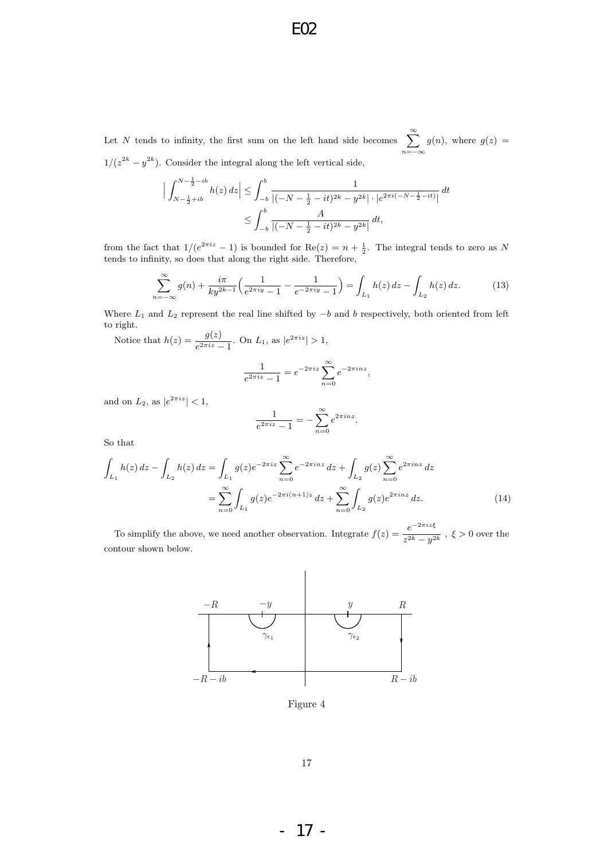Let N tends to infinity, the first sum on the left hand side becomes  $\sum_{n=1}^{\infty}$  $n=-\infty$  $g(n)$ , where  $g(z) =$  $1/(z^{2k}-y^{2k})$ . Consider the integral along the left vertical side,

$$
\Big| \int_{N - \frac{1}{2} + ib}^{N - \frac{1}{2} - ib} h(z) dz \Big| \leq \int_{-b}^{b} \frac{1}{|(-N - \frac{1}{2} - it)^{2k} - y^{2k}| \cdot |e^{2\pi i (-N - \frac{1}{2} - it)}|} dt
$$
  

$$
\leq \int_{-b}^{b} \frac{A}{|(-N - \frac{1}{2} - it)^{2k} - y^{2k}|} dt,
$$

from the fact that  $1/(e^{2\pi i z} - 1)$  is bounded for  $\text{Re}(z) = n + \frac{1}{2}$ . The integral tends to zero as N tends to infinity, so does that along the right side. Therefore,

$$
\sum_{n=-\infty}^{\infty} g(n) + \frac{i\pi}{ky^{2k-1}} \left( \frac{1}{e^{2\pi iy} - 1} - \frac{1}{e^{-2\pi iy} - 1} \right) = \int_{L_1} h(z) dz - \int_{L_2} h(z) dz.
$$
 (13)

Where  $L_1$  and  $L_2$  represent the real line shifted by  $-b$  and b respectively, both oriented from left to right.

Notice that 
$$
h(z) = \frac{g(z)}{e^{2\pi i z} - 1}
$$
. On  $L_1$ , as  $|e^{2\pi i z}| > 1$ ,

$$
\frac{1}{e^{2\pi i z} - 1} = e^{-2\pi i z} \sum_{n=0}^{\infty} e^{-2\pi i n z},
$$

and on  $L_2$ , as  $|e^{2\pi i z}| < 1$ ,

$$
\frac{1}{e^{2\pi i z} - 1} = -\sum_{n=0}^{\infty} e^{2\pi i n z}.
$$

So that

$$
\int_{L_1} h(z) dz - \int_{L_2} h(z) dz = \int_{L_1} g(z) e^{-2\pi i z} \sum_{n=0}^{\infty} e^{-2\pi i n z} dz + \int_{L_2} g(z) \sum_{n=0}^{\infty} e^{2\pi i n z} dz
$$

$$
= \sum_{n=0}^{\infty} \int_{L_1} g(z) e^{-2\pi i (n+1) z} dz + \sum_{n=0}^{\infty} \int_{L_2} g(z) e^{2\pi i n z} dz.
$$
(14)

To simplify the above, we need another observation. Integrate  $f(z) = \frac{e^{-2\pi i z \xi}}{2k}$  $\frac{c}{z^{2k}-y^{2k}}$ ,  $\xi > 0$  over the contour shown below.



Figure 4

- 17 -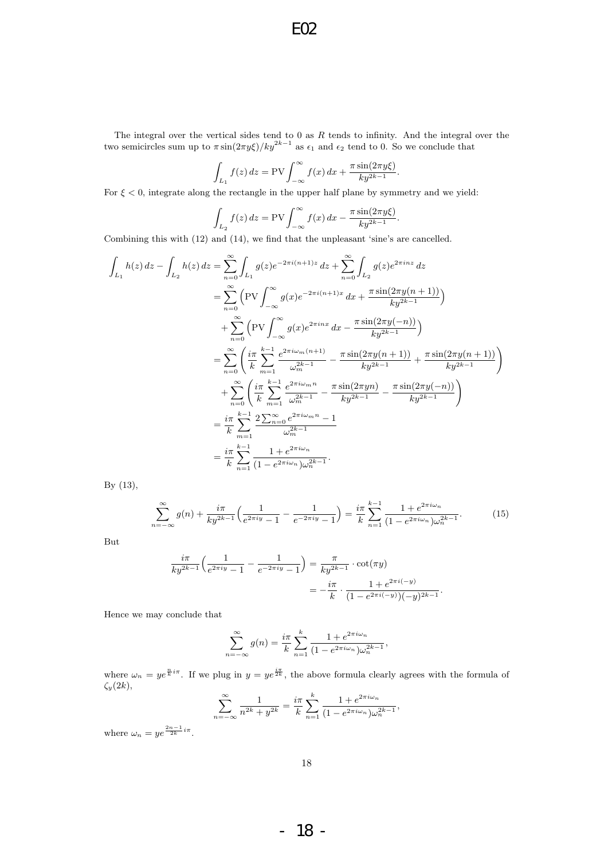The integral over the vertical sides tend to  $0$  as  $R$  tends to infinity. And the integral over the two semicircles sum up to  $\pi \sin(2\pi y \xi)/ky^{2k-1}$  as  $\epsilon_1$  and  $\epsilon_2$  tend to 0. So we conclude that

$$
\int_{L_1} f(z) dz = \text{PV} \int_{-\infty}^{\infty} f(x) dx + \frac{\pi \sin(2\pi y \xi)}{ky^{2k-1}}.
$$

For  $\xi < 0$ , integrate along the rectangle in the upper half plane by symmetry and we yield:

$$
\int_{L_2} f(z) dz = \text{PV} \int_{-\infty}^{\infty} f(x) dx - \frac{\pi \sin(2\pi y \xi)}{ky^{2k-1}}.
$$

Combining this with (12) and (14), we find that the unpleasant 'sine's are cancelled.

$$
\int_{L_1} h(z) dz - \int_{L_2} h(z) dz = \sum_{n=0}^{\infty} \int_{L_1} g(z) e^{-2\pi i (n+1)z} dz + \sum_{n=0}^{\infty} \int_{L_2} g(z) e^{2\pi i n z} dz
$$
\n
$$
= \sum_{n=0}^{\infty} \left( \text{PV} \int_{-\infty}^{\infty} g(x) e^{-2\pi i (n+1)z} dx + \frac{\pi \sin(2\pi y(n+1))}{ky^{2k-1}} \right)
$$
\n
$$
+ \sum_{n=0}^{\infty} \left( \text{PV} \int_{-\infty}^{\infty} g(x) e^{2\pi i n x} dx - \frac{\pi \sin(2\pi y(-n))}{ky^{2k-1}} \right)
$$
\n
$$
= \sum_{n=0}^{\infty} \left( \frac{i\pi}{k} \sum_{m=1}^{k-1} \frac{e^{2\pi i \omega_m (n+1)}}{\omega_m^{2k-1}} - \frac{\pi \sin(2\pi y(n+1))}{ky^{2k-1}} + \frac{\pi \sin(2\pi y(n+1))}{ky^{2k-1}} \right)
$$
\n
$$
+ \sum_{n=0}^{\infty} \left( \frac{i\pi}{k} \sum_{m=1}^{k-1} \frac{e^{2\pi i \omega_m n}}{\omega_m^{2k-1}} - \frac{\pi \sin(2\pi y(n)}{ky^{2k-1}} - \frac{\pi \sin(2\pi y(-n))}{ky^{2k-1}} \right)
$$
\n
$$
= \frac{i\pi}{k} \sum_{m=1}^{k-1} \frac{2 \sum_{n=0}^{\infty} e^{2\pi i \omega_m n} - 1}{\omega_m^{2k-1}}
$$
\n
$$
= \frac{i\pi}{k} \sum_{n=1}^{k-1} \frac{1 + e^{2\pi i \omega_n}}{(1 - e^{2\pi i \omega_n}) \omega_n^{2k-1}}.
$$

By (13),

$$
\sum_{n=-\infty}^{\infty} g(n) + \frac{i\pi}{ky^{2k-1}} \left( \frac{1}{e^{2\pi iy} - 1} - \frac{1}{e^{-2\pi iy} - 1} \right) = \frac{i\pi}{k} \sum_{n=1}^{k-1} \frac{1 + e^{2\pi i \omega_n}}{(1 - e^{2\pi i \omega_n}) \omega_n^{2k-1}}.
$$
(15)

But

$$
\frac{i\pi}{ky^{2k-1}}\left(\frac{1}{e^{2\pi iy}-1}-\frac{1}{e^{-2\pi iy}-1}\right) = \frac{\pi}{ky^{2k-1}} \cdot \cot(\pi y)
$$

$$
= -\frac{i\pi}{k} \cdot \frac{1+e^{2\pi i(-y)}}{(1-e^{2\pi i(-y)})(-y)^{2k-1}}.
$$

Hence we may conclude that

$$
\sum_{n=-\infty}^{\infty} g(n) = \frac{i\pi}{k} \sum_{n=1}^{k} \frac{1 + e^{2\pi i \omega_n}}{(1 - e^{2\pi i \omega_n}) \omega_n^{2k-1}},
$$

where  $\omega_n = y e^{\frac{n}{k}i\pi}$ . If we plug in  $y = y e^{\frac{i\pi}{2k}}$ , the above formula clearly agrees with the formula of  $\zeta_y(2k)$ ,

$$
\sum_{n=-\infty}^{\infty} \frac{1}{n^{2k} + y^{2k}} = \frac{i\pi}{k} \sum_{n=1}^{k} \frac{1 + e^{2\pi i \omega_n}}{(1 - e^{2\pi i \omega_n}) \omega_n^{2k-1}},
$$

where  $\omega_n = ye^{\frac{2n-1}{2k}i\pi}$ .

- 18 -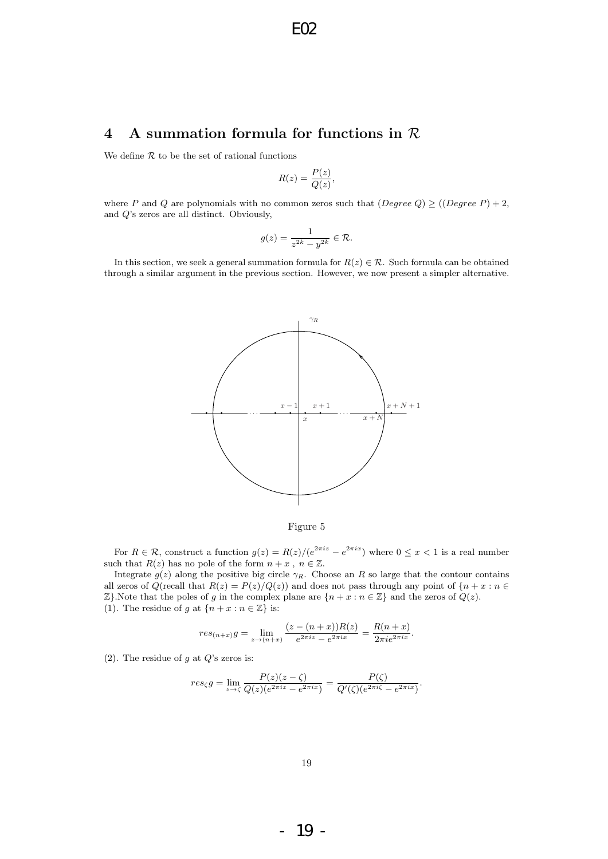# 4 A summation formula for functions in R

We define  $R$  to be the set of rational functions

$$
R(z) = \frac{P(z)}{Q(z)},
$$

where P and Q are polynomials with no common zeros such that  $(Degree Q) \geq ((Degree P) + 2,$ and Q's zeros are all distinct. Obviously,

$$
g(z)=\frac{1}{z^{2k}-y^{2k}}\in\mathcal{R}.
$$

In this section, we seek a general summation formula for  $R(z) \in \mathcal{R}$ . Such formula can be obtained through a similar argument in the previous section. However, we now present a simpler alternative.



Figure 5

For  $R \in \mathcal{R}$ , construct a function  $g(z) = R(z)/(e^{2\pi i z} - e^{2\pi i x})$  where  $0 \leq x < 1$  is a real number such that  $R(z)$  has no pole of the form  $n + x$ ,  $n \in \mathbb{Z}$ .

Integrate  $g(z)$  along the positive big circle  $\gamma_R$ . Choose an R so large that the contour contains all zeros of  $Q(\text{recall that } R(z) = P(z)/Q(z))$  and does not pass through any point of  $\{n + x : n \in \mathbb{R}\}$  $\mathbb{Z}$ . Note that the poles of g in the complex plane are  $\{n + x : n \in \mathbb{Z}\}\$  and the zeros of  $Q(z)$ . (1). The residue of g at  $\{n + x : n \in \mathbb{Z}\}\)$  is:

$$
res_{(n+x)}g = \lim_{z \to (n+x)} \frac{(z - (n+x))R(z)}{e^{2\pi i z} - e^{2\pi i x}} = \frac{R(n+x)}{2\pi i e^{2\pi i x}}.
$$

(2). The residue of  $g$  at  $Q$ 's zeros is:

$$
res_{\zeta}g = \lim_{z \to \zeta} \frac{P(z)(z - \zeta)}{Q(z)(e^{2\pi i z} - e^{2\pi i x})} = \frac{P(\zeta)}{Q'(\zeta)(e^{2\pi i \zeta} - e^{2\pi i x})}.
$$

- 19 -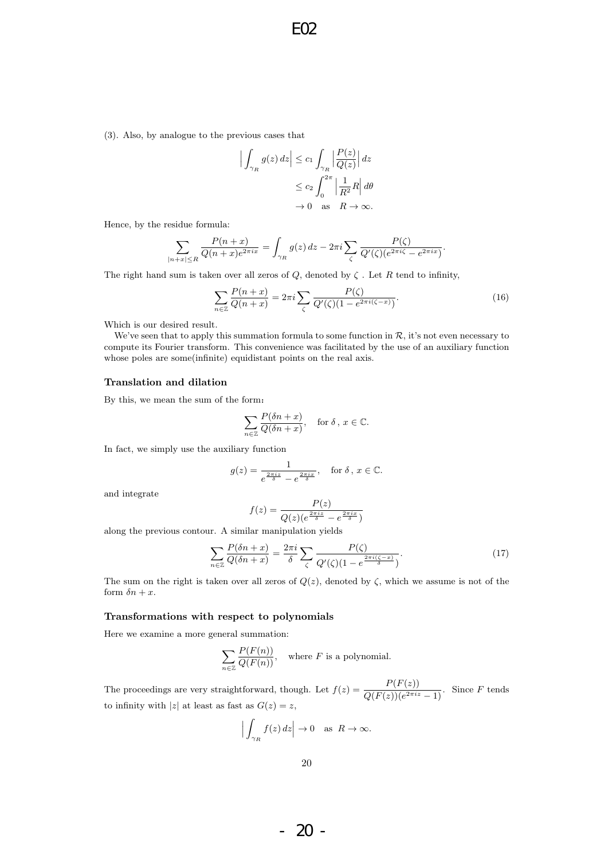(3). Also, by analogue to the previous cases that

$$
\left| \int_{\gamma_R} g(z) dz \right| \le c_1 \int_{\gamma_R} \left| \frac{P(z)}{Q(z)} \right| dz
$$
  

$$
\le c_2 \int_0^{2\pi} \left| \frac{1}{R^2} R \right| d\theta
$$
  

$$
\to 0 \quad \text{as} \quad R \to \infty.
$$

Hence, by the residue formula:

$$
\sum_{|n+x|\leq R}\frac{P(n+x)}{Q(n+x)e^{2\pi ix}}=\int_{\gamma_R}g(z)\,dz-2\pi i\sum_{\zeta}\frac{P(\zeta)}{Q'(\zeta)(e^{2\pi i\zeta}-e^{2\pi ix})}.
$$

The right hand sum is taken over all zeros of  $Q$ , denoted by  $\zeta$ . Let R tend to infinity,

$$
\sum_{n \in \mathbb{Z}} \frac{P(n+x)}{Q(n+x)} = 2\pi i \sum_{\zeta} \frac{P(\zeta)}{Q'(\zeta)(1 - e^{2\pi i(\zeta - x)})}.
$$
(16)

Which is our desired result.

We've seen that to apply this summation formula to some function in  $R$ , it's not even necessary to compute its Fourier transform. This convenience was facilitated by the use of an auxiliary function whose poles are some(infinite) equidistant points on the real axis.

#### Translation and dilation

By this, we mean the sum of the form:

$$
\sum_{n\in\mathbb{Z}}\frac{P(\delta n+x)}{Q(\delta n+x)}, \quad \text{for } \delta, x \in \mathbb{C}.
$$

In fact, we simply use the auxiliary function

$$
g(z) = \frac{1}{e^{\frac{2\pi iz}{\delta}} - e^{\frac{2\pi iz}{\delta}}}, \text{ for } \delta, x \in \mathbb{C}.
$$

and integrate

$$
f(z) = \frac{P(z)}{Q(z)(e^{\frac{2\pi iz}{\delta}} - e^{\frac{2\pi iz}{\delta}})}
$$

along the previous contour. A similar manipulation yields

$$
\sum_{n\in\mathbb{Z}}\frac{P(\delta n+x)}{Q(\delta n+x)}=\frac{2\pi i}{\delta}\sum_{\zeta}\frac{P(\zeta)}{Q'(\zeta)(1-e^{\frac{2\pi i(\zeta-x)}{\delta})}}.\tag{17}
$$

The sum on the right is taken over all zeros of  $Q(z)$ , denoted by  $\zeta$ , which we assume is not of the form  $\delta n + x$ .

#### Transformations with respect to polynomials

Here we examine a more general summation:

$$
\sum_{n \in \mathbb{Z}} \frac{P(F(n))}{Q(F(n))}
$$
, where *F* is a polynomial.

The proceedings are very straightforward, though. Let  $f(z) = \frac{P(F(z))}{Q(F(z))(e^{2\pi i z} - 1)}$ . Since F tends to infinity with  $|z|$  at least as fast as  $G(z) = z$ ,

$$
\Big|\int_{\gamma_R}f(z)\,dz\Big|\to 0\quad\text{as}\ \ R\to\infty.
$$

- 20 -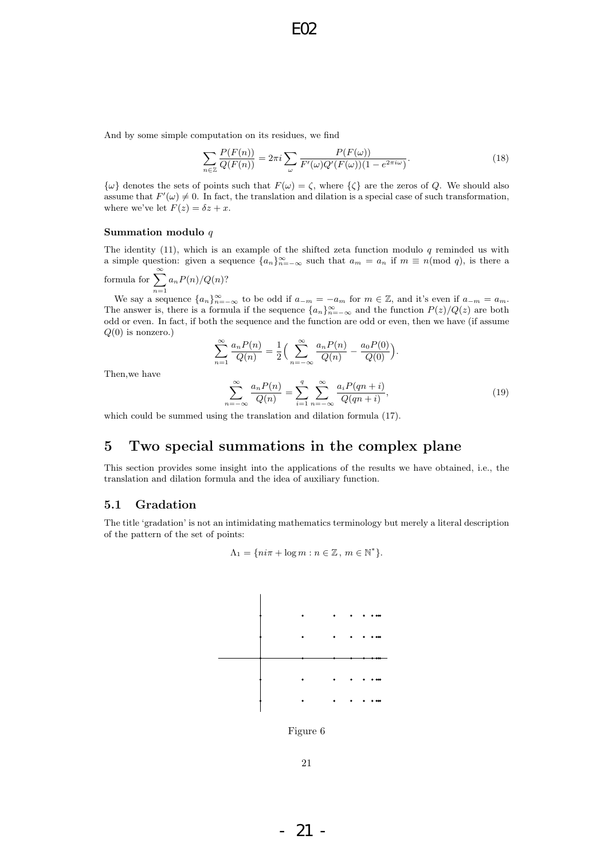And by some simple computation on its residues, we find

$$
\sum_{n\in\mathbb{Z}}\frac{P(F(n))}{Q(F(n))} = 2\pi i \sum_{\omega}\frac{P(F(\omega))}{F'(\omega)Q'(F(\omega))(1 - e^{2\pi i\omega})}.
$$
\n(18)

 $\{\omega\}$  denotes the sets of points such that  $F(\omega) = \zeta$ , where  $\{\zeta\}$  are the zeros of Q. We should also assume that  $F'(\omega) \neq 0$ . In fact, the translation and dilation is a special case of such transformation, where we've let  $F(z) = \delta z + x$ .

#### Summation modulo  $q$

The identity  $(11)$ , which is an example of the shifted zeta function modulo q reminded us with a simple question: given a sequence  ${a_n}_{n=-\infty}^{\infty}$  such that  $a_m = a_n$  if  $m \equiv n \pmod{q}$ , is there a formula for  $\sum_{n=0}^{\infty}$ 

formula for 
$$
\sum_{n=1}^{\infty} a_n P(n)/Q(n)
$$
?

We say a sequence  ${a_n}_{n=-\infty}^{\infty}$  to be odd if  $a_{-m}=-a_m$  for  $m \in \mathbb{Z}$ , and it's even if  $a_{-m}=a_m$ . The answer is, there is a formula if the sequence  $\{a_n\}_{n=-\infty}^{\infty}$  and the function  $P(z)/Q(z)$  are both odd or even. In fact, if both the sequence and the function are odd or even, then we have (if assume  $Q(0)$  is nonzero.)

$$
\sum_{n=1}^{\infty} \frac{a_n P(n)}{Q(n)} = \frac{1}{2} \Big( \sum_{n=-\infty}^{\infty} \frac{a_n P(n)}{Q(n)} - \frac{a_0 P(0)}{Q(0)} \Big).
$$

Then,we have

$$
\sum_{n=-\infty}^{\infty} \frac{a_n P(n)}{Q(n)} = \sum_{i=1}^{q} \sum_{n=-\infty}^{\infty} \frac{a_i P(qn+i)}{Q(qn+i)},
$$
\n(19)

which could be summed using the translation and dilation formula (17).

# 5 Two special summations in the complex plane

This section provides some insight into the applications of the results we have obtained, i.e., the translation and dilation formula and the idea of auxiliary function.

#### 5.1 Gradation

The title 'gradation' is not an intimidating mathematics terminology but merely a literal description of the pattern of the set of points:

$$
\Lambda_1 = \{ni\pi + \log m : n \in \mathbb{Z}, m \in \mathbb{N}^*\}.
$$



- 21 -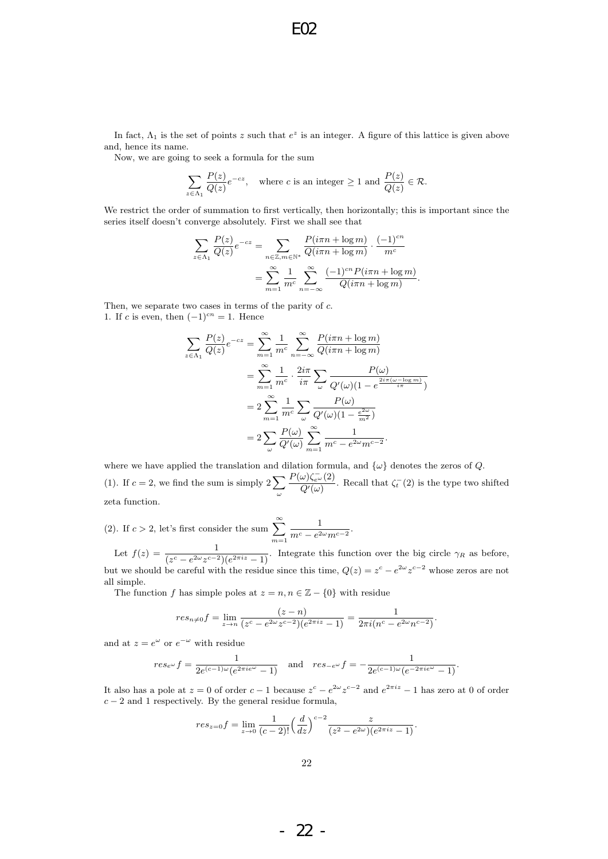In fact,  $\Lambda_1$  is the set of points z such that  $e^z$  is an integer. A figure of this lattice is given above and, hence its name.

Now, we are going to seek a formula for the sum

$$
\sum_{z \in \Lambda_1} \frac{P(z)}{Q(z)} e^{-cz}, \quad \text{where } c \text{ is an integer } \ge 1 \text{ and } \frac{P(z)}{Q(z)} \in \mathcal{R}.
$$

We restrict the order of summation to first vertically, then horizontally; this is important since the series itself doesn't converge absolutely. First we shall see that

$$
\sum_{z \in \Lambda_1} \frac{P(z)}{Q(z)} e^{-cz} = \sum_{n \in \mathbb{Z}, m \in \mathbb{N}^*} \frac{P(i\pi n + \log m)}{Q(i\pi n + \log m)} \cdot \frac{(-1)^{cn}}{m^c}
$$

$$
= \sum_{m=1}^{\infty} \frac{1}{m^c} \sum_{n=-\infty}^{\infty} \frac{(-1)^{cn} P(i\pi n + \log m)}{Q(i\pi n + \log m)}.
$$

Then, we separate two cases in terms of the parity of c. 1. If c is even, then  $(-1)^{cn} = 1$ . Hence

$$
\sum_{z \in \Lambda_1} \frac{P(z)}{Q(z)} e^{-cz} = \sum_{m=1}^{\infty} \frac{1}{m^c} \sum_{n=-\infty}^{\infty} \frac{P(i\pi n + \log m)}{Q(i\pi n + \log m)}
$$
  

$$
= \sum_{m=1}^{\infty} \frac{1}{m^c} \cdot \frac{2i\pi}{i\pi} \sum_{\omega} \frac{P(\omega)}{Q'(\omega)(1 - e^{\frac{2i\pi(\omega - \log m)}{i\pi}})}
$$
  

$$
= 2 \sum_{m=1}^{\infty} \frac{1}{m^c} \sum_{\omega} \frac{P(\omega)}{Q'(\omega)(1 - \frac{e^{2\omega}}{m^2})}
$$
  

$$
= 2 \sum_{\omega} \frac{P(\omega)}{Q'(\omega)} \sum_{m=1}^{\infty} \frac{1}{m^c - e^{2\omega}m^{c-2}}.
$$

where we have applied the translation and dilation formula, and  $\{\omega\}$  denotes the zeros of Q. (1). If  $c = 2$ , we find the sum is simply  $2\sum$ ω  $P(\omega)\zeta_{e^{\omega}}^-(2)$  $\frac{\omega_{\xi_e}(\omega)}{Q'(\omega)}$ . Recall that  $\zeta_t$ <sup>-</sup>(2) is the type two shifted zeta function.

(2). If  $c > 2$ , let's first consider the sum  $\sum_{n=1}^{\infty}$  $m=1$ 1  $\frac{1}{m^c - e^{2\omega}m^{c-2}}$ .

Let  $f(z) = \frac{1}{(z^c - e^{2\omega}z^{c-2})(e^{2\pi i z} - 1)}$ . Integrate this function over the big circle  $\gamma_R$  as before, but we should be careful with the residue since this time,  $Q(z) = z^c - e^{2\omega} z^{c-2}$  whose zeros are not all simple.

The function f has simple poles at  $z = n, n \in \mathbb{Z} - \{0\}$  with residue

$$
res_{n\neq 0}f = \lim_{z \to n} \frac{(z-n)}{(z^c - e^{2\omega}z^{c-2})(e^{2\pi i z} - 1)} = \frac{1}{2\pi i(n^c - e^{2\omega}n^{c-2})}.
$$

and at  $z = e^{\omega}$  or  $e^{-\omega}$  with residue

$$
res_{e^{\omega}}f = \frac{1}{2e^{(c-1)\omega}(e^{2\pi i e^{\omega}} - 1)} \quad \text{and} \quad res_{-e^{\omega}}f = -\frac{1}{2e^{(c-1)\omega}(e^{-2\pi i e^{\omega}} - 1)}.
$$

It also has a pole at  $z = 0$  of order  $c - 1$  because  $z^c - e^{2\omega} z^{c-2}$  and  $e^{2\pi i z} - 1$  has zero at 0 of order  $c - 2$  and 1 respectively. By the general residue formula,

$$
res_{z=0}f = \lim_{z \to 0} \frac{1}{(c-2)!} \left(\frac{d}{dz}\right)^{c-2} \frac{z}{(z^2 - e^{2\omega})(e^{2\pi i z} - 1)}.
$$

- 22 -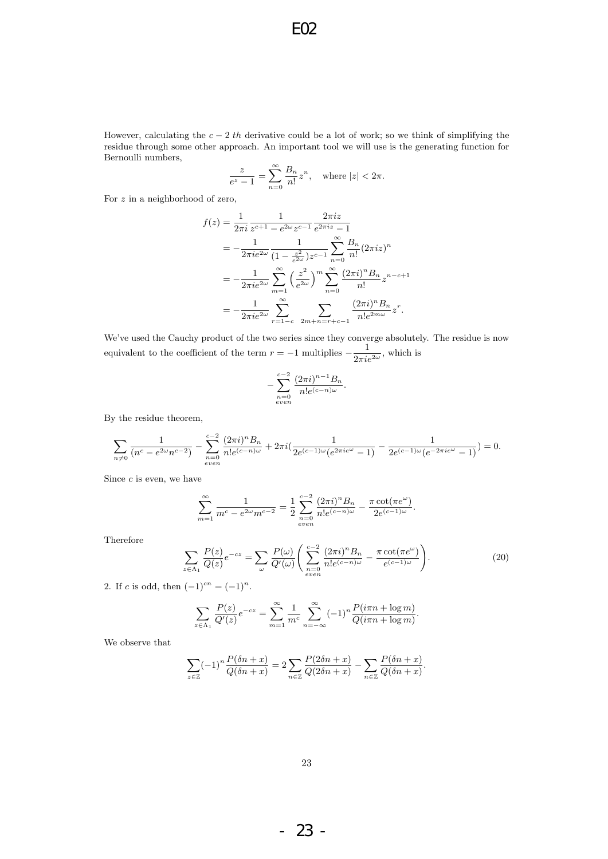However, calculating the  $c - 2$  th derivative could be a lot of work; so we think of simplifying the residue through some other approach. An important tool we will use is the generating function for Bernoulli numbers,

$$
\frac{z}{e^z-1}=\sum_{n=0}^\infty \frac{B_n}{n!}z^n,\quad \text{where }|z|<2\pi.
$$

For z in a neighborhood of zero,

$$
f(z) = \frac{1}{2\pi i} \frac{1}{z^{c+1} - e^{2\omega} z^{c-1}} \frac{2\pi i z}{e^{2\pi i z} - 1}
$$
  
=  $-\frac{1}{2\pi i e^{2\omega}} \frac{1}{(1 - \frac{z^2}{e^{2\omega}}) z^{c-1}} \sum_{n=0}^{\infty} \frac{B_n}{n!} (2\pi i z)^n$   
=  $-\frac{1}{2\pi i e^{2\omega}} \sum_{m=1}^{\infty} \left(\frac{z^2}{e^{2\omega}}\right)^m \sum_{n=0}^{\infty} \frac{(2\pi i)^n B_n}{n!} z^{n-c+1}$   
=  $-\frac{1}{2\pi i e^{2\omega}} \sum_{r=1-c}^{\infty} \sum_{2m+n=r+c-1} \frac{(2\pi i)^n B_n}{n! e^{2m\omega}} z^r.$ 

We've used the Cauchy product of the two series since they converge absolutely. The residue is now equivalent to the coefficient of the term  $r = -1$  multiplies  $-\frac{1}{2}$  $\frac{1}{2\pi i e^{2\omega}}$ , which is

$$
-\sum_{\substack{n=0\\even}}^{c-2}\frac{(2\pi i)^{n-1}B_n}{n!e^{(c-n)\omega}}.
$$

By the residue theorem,

$$
\sum_{n\neq 0} \frac{1}{(n^c - e^{2\omega}n^{c-2})} - \sum_{\substack{n=0 \ \text{even}}}^{c-2} \frac{(2\pi i)^n B_n}{n!e^{(c-n)\omega}} + 2\pi i \left( \frac{1}{2e^{(c-1)\omega}(e^{2\pi i e^{\omega}} - 1)} - \frac{1}{2e^{(c-1)\omega}(e^{-2\pi i e^{\omega}} - 1)} \right) = 0.
$$

Since  $c$  is even, we have

$$
\sum_{m=1}^{\infty} \frac{1}{m^c - e^{2\omega} m^{c-2}} = \frac{1}{2} \sum_{\substack{n=0 \ even}}^{c-2} \frac{(2\pi i)^n B_n}{n! e^{(c-n)\omega}} - \frac{\pi \cot(\pi e^{\omega})}{2e^{(c-1)\omega}}.
$$

Therefore

$$
\sum_{z \in \Lambda_1} \frac{P(z)}{Q(z)} e^{-cz} = \sum_{\omega} \frac{P(\omega)}{Q'(\omega)} \left( \sum_{\substack{n=0 \ vven}}^{\infty} \frac{(2\pi i)^n B_n}{n! e^{(c-n)\omega}} - \frac{\pi \cot(\pi e^{\omega})}{e^{(c-1)\omega}} \right).
$$
(20)

.

2. If c is odd, then  $(-1)^{cn} = (-1)^n$ .

$$
\sum_{z \in \Lambda_1} \frac{P(z)}{Q'(z)} e^{-cz} = \sum_{m=1}^{\infty} \frac{1}{m^c} \sum_{n=-\infty}^{\infty} (-1)^n \frac{P(i\pi n + \log m)}{Q(i\pi n + \log m)}.
$$

We observe that

$$
\sum_{z \in \mathbb{Z}} (-1)^n \frac{P(\delta n + x)}{Q(\delta n + x)} = 2 \sum_{n \in \mathbb{Z}} \frac{P(2\delta n + x)}{Q(2\delta n + x)} - \sum_{n \in \mathbb{Z}} \frac{P(\delta n + x)}{Q(\delta n + x)}
$$

- 23 -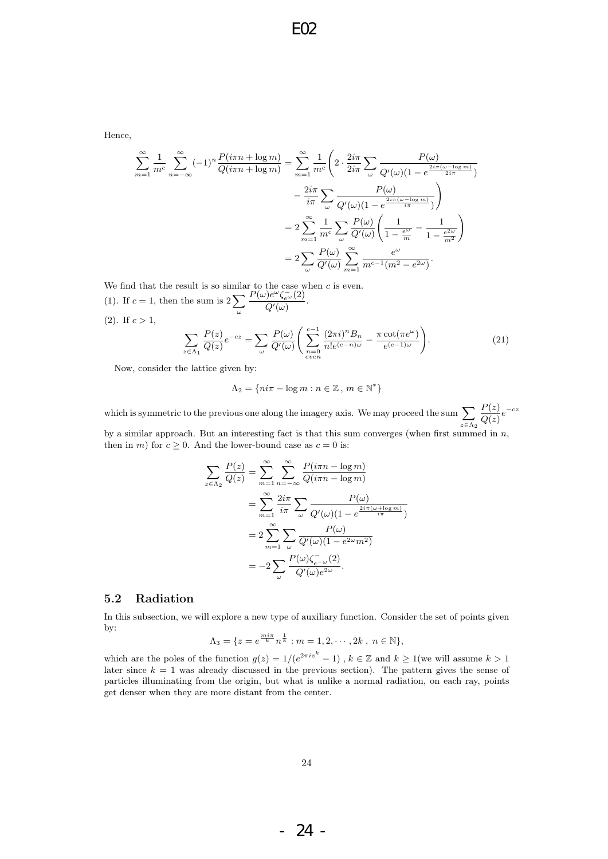Hence,

$$
\sum_{m=1}^{\infty} \frac{1}{m^c} \sum_{n=-\infty}^{\infty} (-1)^n \frac{P(i\pi n + \log m)}{Q(i\pi n + \log m)} = \sum_{m=1}^{\infty} \frac{1}{m^c} \left( 2 \cdot \frac{2i\pi}{2i\pi} \sum_{\omega} \frac{P(\omega)}{Q'(\omega)(1 - e^{\frac{2i\pi(\omega - \log m)}{2i\pi}})}{Q'(\omega)(1 - e^{\frac{2i\pi(\omega - \log m)}{i\pi}})} \right)
$$

$$
= 2 \sum_{m=1}^{\infty} \frac{1}{m^c} \sum_{\omega} \frac{P(\omega)}{Q'(\omega)} \left( \frac{1}{1 - \frac{e^{\omega}}{m}} - \frac{1}{1 - \frac{e^{2\omega}}{m^2}} \right)
$$

$$
= 2 \sum_{\omega} \frac{P(\omega)}{Q'(\omega)} \sum_{m=1}^{\infty} \frac{e^{\omega}}{m^{c-1}(m^2 - e^{2\omega})}.
$$

We find that the result is so similar to the case when  $c$  is even. (1). If  $c = 1$ , then the sum is  $2\sum$  $P(\omega)e^{\omega}\zeta_{e^{\omega}}^{-}(2)$  $\frac{Q'(\omega)}{Q'(\omega)}$ .

ω

 $(2)$ . If  $c > 1$ ,

$$
\sum_{z \in \Lambda_1} \frac{P(z)}{Q(z)} e^{-cz} = \sum_{\omega} \frac{P(\omega)}{Q'(\omega)} \left( \sum_{\substack{n=0 \ \text{even}}}^{c-1} \frac{(2\pi i)^n B_n}{n! e^{(c-n)\omega}} - \frac{\pi \cot(\pi e^{\omega})}{e^{(c-1)\omega}} \right).
$$
(21)

Now, consider the lattice given by:

z∈Λ<sup>2</sup>

$$
\Lambda_2 = \{ n i \pi - \log m : n \in \mathbb{Z}, m \in \mathbb{N}^* \}
$$

which is symmetric to the previous one along the imagery axis. We may proceed the sum  $\sum$  $z\in\Lambda_2$  $P(z)$  $rac{F(z)}{Q(z)}e^{-cz}$ by a similar approach. But an interesting fact is that this sum converges (when first summed in  $n$ ,

then in m) for  $c \geq 0$ . And the lower-bound case as  $c = 0$  is:

$$
\sum_{z \in \Lambda_2} \frac{P(z)}{Q(z)} = \sum_{m=1}^{\infty} \sum_{n=-\infty}^{\infty} \frac{P(i\pi n - \log m)}{Q(i\pi n - \log m)}
$$

$$
= \sum_{m=1}^{\infty} \frac{2i\pi}{i\pi} \sum_{\omega} \frac{P(\omega)}{Q'(\omega)(1 - e^{\frac{2i\pi(\omega + \log m)}{i\pi}})}
$$

$$
= 2 \sum_{m=1}^{\infty} \sum_{\omega} \frac{P(\omega)}{Q'(\omega)(1 - e^{2\omega}m^2)}
$$

$$
= -2 \sum_{\omega} \frac{P(\omega)\zeta_{e^{-\omega}}(2)}{Q'(\omega)e^{2\omega}}.
$$

#### 5.2 Radiation

In this subsection, we will explore a new type of auxiliary function. Consider the set of points given by:

$$
\Lambda_3 = \{ z = e^{\frac{m i \pi}{k}} n^{\frac{1}{k}} : m = 1, 2, \cdots, 2k , n \in \mathbb{N} \},
$$

which are the poles of the function  $g(z) = 1/(e^{2\pi i z^k} - 1)$ ,  $k \in \mathbb{Z}$  and  $k \ge 1$  (we will assume  $k > 1$ later since  $k = 1$  was already discussed in the previous section). The pattern gives the sense of particles illuminating from the origin, but what is unlike a normal radiation, on each ray, points get denser when they are more distant from the center.

- 24 -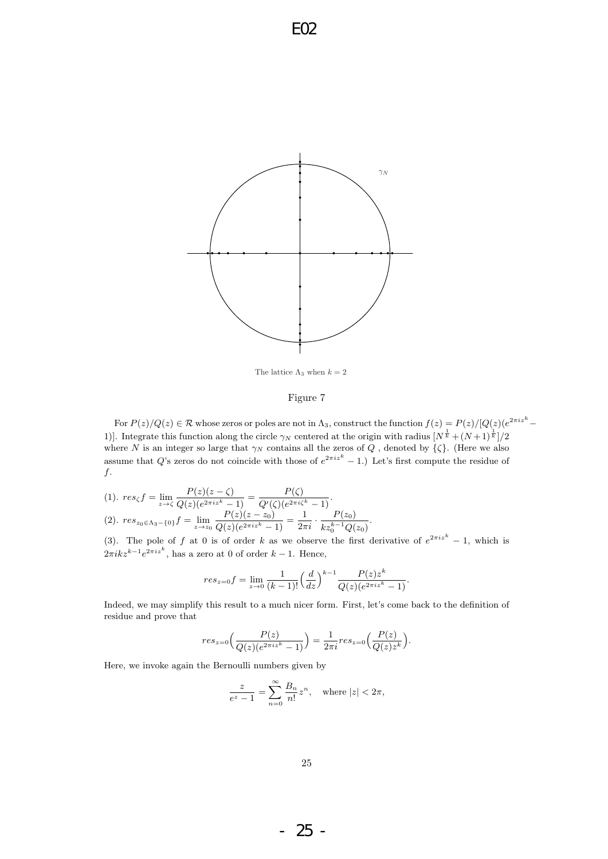

The lattice  $\Lambda_3$  when  $k = 2$ 

#### Figure 7

For  $P(z)/Q(z) \in \mathcal{R}$  whose zeros or poles are not in  $\Lambda_3$ , construct the function  $f(z) = P(z)/[Q(z)(e^{2\pi i z^k} -$ 1)]. Integrate this function along the circle  $\gamma_N$  centered at the origin with radius  $[N^{\frac{1}{k}} + (N+1)^{\frac{1}{k}}]/2$ where N is an integer so large that  $\gamma_N$  contains all the zeros of Q, denoted by  $\{\zeta\}$ . (Here we also assume that Q's zeros do not coincide with those of  $e^{2\pi i z^{k}} - 1$ . Let's first compute the residue of  $f$ .

.

$$
(1) \ \ \operatorname{res}_{\zeta} f = \lim_{z \to \zeta} \frac{P(z)(z - \zeta)}{Q(z)(e^{2\pi i z^k} - 1)} = \frac{P(\zeta)}{Q'(\zeta)(e^{2\pi i \zeta^k} - 1)}.
$$
\n
$$
(2) \ \ \operatorname{res}_{z_0 \in \Lambda_3 - \{0\}} f = \lim_{z \to z_0} \frac{P(z)(z - z_0)}{Q(z)(e^{2\pi i z^k} - 1)} = \frac{1}{2\pi i} \cdot \frac{P(z_0)}{k z_0^{k-1} Q(z_0)}
$$

(3). The pole of f at 0 is of order k as we observe the first derivative of  $e^{2\pi i z^{k}} - 1$ , which is  $2\pi i k z^{k-1} e^{2\pi i z^k}$ , has a zero at 0 of order  $k-1$ . Hence,

$$
res_{z=0}f = \lim_{z \to 0} \frac{1}{(k-1)!} \left(\frac{d}{dz}\right)^{k-1} \frac{P(z)z^k}{Q(z)(e^{2\pi i z^k} - 1)}.
$$

Indeed, we may simplify this result to a much nicer form. First, let's come back to the definition of residue and prove that

$$
res_{z=0}\Big(\frac{P(z)}{Q(z)(e^{2\pi i z^k}-1)}\Big)=\frac{1}{2\pi i}res_{z=0}\Big(\frac{P(z)}{Q(z)z^k}\Big).
$$

Here, we invoke again the Bernoulli numbers given by

$$
\frac{z}{e^z-1}=\sum_{n=0}^\infty \frac{B_n}{n!}z^n,\quad \text{where }|z|<2\pi,
$$

- 25 -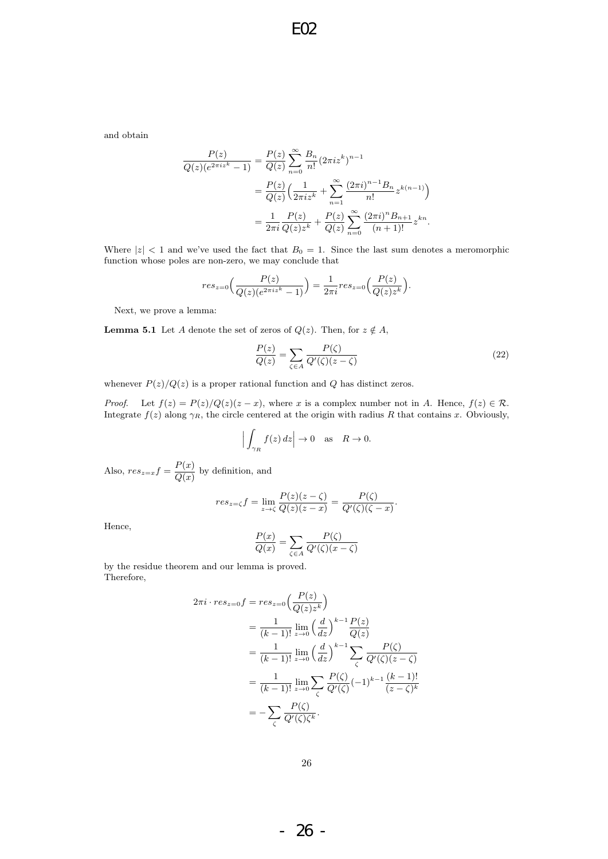and obtain

$$
\frac{P(z)}{Q(z)(e^{2\pi iz^{k}}-1)} = \frac{P(z)}{Q(z)} \sum_{n=0}^{\infty} \frac{B_{n}}{n!} (2\pi iz^{k})^{n-1}
$$

$$
= \frac{P(z)}{Q(z)} \Big( \frac{1}{2\pi iz^{k}} + \sum_{n=1}^{\infty} \frac{(2\pi i)^{n-1} B_{n}}{n!} z^{k(n-1)} \Big)
$$

$$
= \frac{1}{2\pi i} \frac{P(z)}{Q(z)z^{k}} + \frac{P(z)}{Q(z)} \sum_{n=0}^{\infty} \frac{(2\pi i)^{n} B_{n+1}}{(n+1)!} z^{kn}.
$$

Where  $|z|$  < 1 and we've used the fact that  $B_0 = 1$ . Since the last sum denotes a meromorphic function whose poles are non-zero, we may conclude that

$$
res_{z=0}\Big(\frac{P(z)}{Q(z)(e^{2\pi i z^{k}}-1)}\Big)=\frac{1}{2\pi i}res_{z=0}\Big(\frac{P(z)}{Q(z)z^{k}}\Big).
$$

Next, we prove a lemma:

**Lemma 5.1** Let A denote the set of zeros of  $Q(z)$ . Then, for  $z \notin A$ ,

$$
\frac{P(z)}{Q(z)} = \sum_{\zeta \in A} \frac{P(\zeta)}{Q'(\zeta)(z - \zeta)}\tag{22}
$$

.

whenever  $P(z)/Q(z)$  is a proper rational function and Q has distinct zeros.

*Proof.* Let  $f(z) = P(z)/Q(z)(z - x)$ , where x is a complex number not in A. Hence,  $f(z) \in \mathcal{R}$ . Integrate  $f(z)$  along  $\gamma_R$ , the circle centered at the origin with radius R that contains x. Obviously,

$$
\Big|\int_{\gamma_R} f(z) dz\Big| \to 0 \quad \text{as} \quad R \to 0.
$$

Also,  $res_{z=x}f = \frac{P(x)}{Q(x)}$  $\frac{d}{Q(x)}$  by definition, and

$$
res_{z=\zeta} f = \lim_{z \to \zeta} \frac{P(z)(z-\zeta)}{Q(z)(z-x)} = \frac{P(\zeta)}{Q'(\zeta)(\zeta-x)}
$$

Hence,

$$
\frac{P(x)}{Q(x)} = \sum_{\zeta \in A} \frac{P(\zeta)}{Q'(\zeta)(x - \zeta)}
$$

by the residue theorem and our lemma is proved. Therefore,

$$
2\pi i \cdot res_{z=0}f = res_{z=0}\left(\frac{P(z)}{Q(z)z^k}\right)
$$
  
=  $\frac{1}{(k-1)!} \lim_{z \to 0} \left(\frac{d}{dz}\right)^{k-1} \frac{P(z)}{Q(z)}$   
=  $\frac{1}{(k-1)!} \lim_{z \to 0} \left(\frac{d}{dz}\right)^{k-1} \sum_{\zeta} \frac{P(\zeta)}{Q'(\zeta)(z-\zeta)}$   
=  $\frac{1}{(k-1)!} \lim_{z \to 0} \sum_{\zeta} \frac{P(\zeta)}{Q'(\zeta)} (-1)^{k-1} \frac{(k-1)!}{(z-\zeta)^k}$   
=  $-\sum_{\zeta} \frac{P(\zeta)}{Q'(\zeta)\zeta^k}.$ 

- 26 -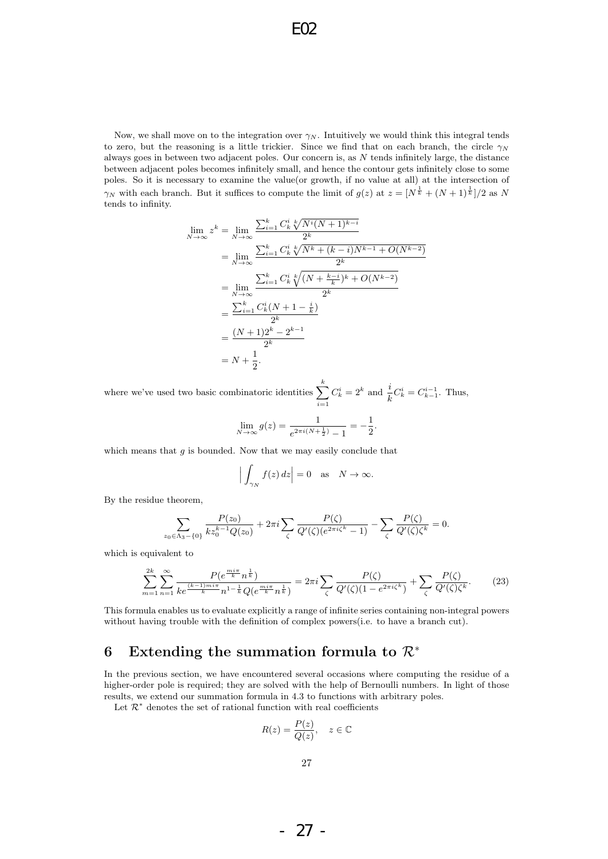Now, we shall move on to the integration over  $\gamma_N$ . Intuitively we would think this integral tends to zero, but the reasoning is a little trickier. Since we find that on each branch, the circle  $\gamma_N$ always goes in between two adjacent poles. Our concern is, as  $N$  tends infinitely large, the distance between adjacent poles becomes infinitely small, and hence the contour gets infinitely close to some poles. So it is necessary to examine the value(or growth, if no value at all) at the intersection of  $\gamma_N$  with each branch. But it suffices to compute the limit of  $g(z)$  at  $z = [N^{\frac{1}{k}} + (N+1)^{\frac{1}{k}}]/2$  as N tends to infinity.

$$
\lim_{N \to \infty} z^{k} = \lim_{N \to \infty} \frac{\sum_{i=1}^{k} C_{k}^{i} \sqrt[N]{N^{i}(N+1)^{k-i}}}{2^{k}}
$$
\n
$$
= \lim_{N \to \infty} \frac{\sum_{i=1}^{k} C_{k}^{i} \sqrt[N]{N^{k} + (k-i)N^{k-1} + O(N^{k-2})}}{2^{k}}
$$
\n
$$
= \lim_{N \to \infty} \frac{\sum_{i=1}^{k} C_{k}^{i} \sqrt[N]{(N + \frac{k-i}{k})^{k} + O(N^{k-2})}}{2^{k}}
$$
\n
$$
= \frac{\sum_{i=1}^{k} C_{k}^{i}(N + 1 - \frac{i}{k})}{2^{k}}
$$
\n
$$
= \frac{(N+1)2^{k} - 2^{k-1}}{2^{k}}
$$
\n
$$
= N + \frac{1}{2}.
$$

where we've used two basic combinatoric identities  $\sum_{k=1}^{k}$  $i=1$  $C_k^i = 2^k$  and  $\frac{i}{k} C_k^i = C_{k-1}^{i-1}$ . Thus,

$$
\lim_{N \to \infty} g(z) = \frac{1}{e^{2\pi i (N + \frac{1}{2})} - 1} = -\frac{1}{2}.
$$

which means that  $g$  is bounded. Now that we may easily conclude that

$$
\Big|\int_{\gamma_N} f(z) dz\Big| = 0 \quad \text{as} \quad N \to \infty.
$$

By the residue theorem,

 $z<sub>0</sub>$ 

$$
\sum_{\epsilon \Lambda_3 - \{0\}} \frac{P(z_0)}{k z_0^{k-1} Q(z_0)} + 2\pi i \sum_{\zeta} \frac{P(\zeta)}{Q'(\zeta)(e^{2\pi i \zeta^k} - 1)} - \sum_{\zeta} \frac{P(\zeta)}{Q'(\zeta) \zeta^k} = 0.
$$

which is equivalent to

$$
\sum_{m=1}^{2k} \sum_{n=1}^{\infty} \frac{P(e^{\frac{m i \pi}{k}} n^{\frac{1}{k}})}{ke^{\frac{(k-1)m\pi}{k}} n^{1-\frac{1}{k}} Q(e^{\frac{m i \pi}{k}} n^{\frac{1}{k}})} = 2\pi i \sum_{\zeta} \frac{P(\zeta)}{Q'(\zeta)(1 - e^{2\pi i \zeta^k})} + \sum_{\zeta} \frac{P(\zeta)}{Q'(\zeta)\zeta^k}.
$$
(23)

This formula enables us to evaluate explicitly a range of infinite series containing non-integral powers without having trouble with the definition of complex powers(i.e. to have a branch cut).

## 6 Extending the summation formula to  $\mathcal{R}^*$

In the previous section, we have encountered several occasions where computing the residue of a higher-order pole is required; they are solved with the help of Bernoulli numbers. In light of those results, we extend our summation formula in 4.3 to functions with arbitrary poles.

Let  $\mathcal{R}^*$  denotes the set of rational function with real coefficients

$$
R(z) = \frac{P(z)}{Q(z)}, \quad z \in \mathbb{C}
$$

- 27 -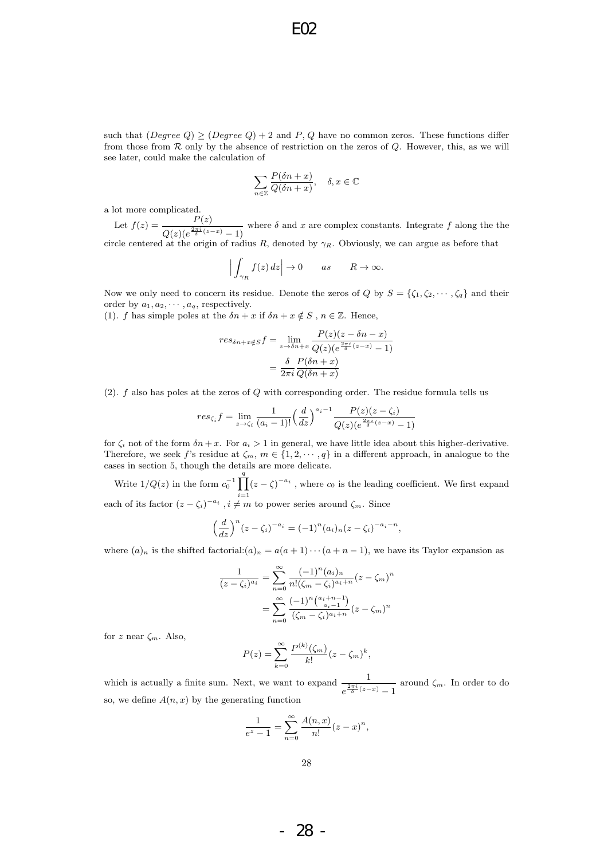such that  $(Degree Q) \geq (Degree Q) + 2$  and P, Q have no common zeros. These functions differ from those from  $R$  only by the absence of restriction on the zeros of  $Q$ . However, this, as we will see later, could make the calculation of

$$
\sum_{n\in\mathbb{Z}}\frac{P(\delta n+x)}{Q(\delta n+x)}, \quad \delta, x\in\mathbb{C}
$$

a lot more complicated.

Let  $f(z) = \frac{P(z)}{z + \frac{2\pi i}{z}}$  $\frac{1}{Q(z)(e^{\frac{2\pi i}{\delta}(z-x)}-1)}$  where  $\delta$  and x are complex constants. Integrate f along the the circle centered at the origin of radius R, denoted by  $\gamma_R$ . Obviously, we can argue as before that

$$
\left| \int_{\gamma_R} f(z) \, dz \right| \to 0 \qquad as \qquad R \to \infty.
$$

Now we only need to concern its residue. Denote the zeros of Q by  $S = {\zeta_1, \zeta_2, \cdots, \zeta_q}$  and their order by  $a_1, a_2, \cdots, a_q$ , respectively.

(1). f has simple poles at the  $\delta n + x$  if  $\delta n + x \notin S$ ,  $n \in \mathbb{Z}$ . Hence,

$$
res_{\delta n+x \notin S} f = \lim_{z \to \delta n+x} \frac{P(z)(z - \delta n - x)}{Q(z)(e^{\frac{2\pi i}{\delta}(z-x)} - 1)}
$$

$$
= \frac{\delta}{2\pi i} \frac{P(\delta n + x)}{Q(\delta n + x)}
$$

 $(2)$ . f also has poles at the zeros of Q with corresponding order. The residue formula tells us

$$
res_{\zeta_i} f = \lim_{z \to \zeta_i} \frac{1}{(a_i - 1)!} \left(\frac{d}{dz}\right)^{a_i - 1} \frac{P(z)(z - \zeta_i)}{Q(z)(e^{\frac{2\pi i}{\delta}(z - x)} - 1)}
$$

for  $\zeta_i$  not of the form  $\delta n + x$ . For  $a_i > 1$  in general, we have little idea about this higher-derivative. Therefore, we seek f's residue at  $\zeta_m$ ,  $m \in \{1, 2, \dots, q\}$  in a different approach, in analogue to the cases in section 5, though the details are more delicate.

Write  $1/Q(z)$  in the form  $c_0^{-1}$   $\prod^q$  $i=1$  $(z - \zeta)^{-a_i}$ , where  $c_0$  is the leading coefficient. We first expand each of its factor  $(z - \zeta_i)^{-a_i}$ ,  $i \neq m$  to power series around  $\zeta_m$ . Since

$$
\left(\frac{d}{dz}\right)^n (z-\zeta_i)^{-a_i} = (-1)^n (a_i)_n (z-\zeta_i)^{-a_i-n},
$$

where  $(a)_n$  is the shifted factorial: $(a)_n = a(a+1)\cdots(a+n-1)$ , we have its Taylor expansion as

$$
\frac{1}{(z-\zeta_i)^{a_i}} = \sum_{n=0}^{\infty} \frac{(-1)^n (a_i)_n}{n! (\zeta_m - \zeta_i)^{a_i+n}} (z-\zeta_m)^n
$$

$$
= \sum_{n=0}^{\infty} \frac{(-1)^n \binom{a_i+n-1}{a_i-1}}{(\zeta_m - \zeta_i)^{a_i+n}} (z-\zeta_m)^n
$$

for z near  $\zeta_m$ . Also,

$$
P(z) = \sum_{k=0}^{\infty} \frac{P^{(k)}(\zeta_m)}{k!} (z - \zeta_m)^k,
$$

which is actually a finite sum. Next, we want to expand  $\frac{1}{\sqrt{2\pi i}}$  $\frac{1}{e^{\frac{2\pi i}{\delta}(z-x)}-1}$  around  $\zeta_m$ . In order to do so, we define  $A(n, x)$  by the generating function

$$
\frac{1}{e^z - 1} = \sum_{n=0}^{\infty} \frac{A(n, x)}{n!} (z - x)^n,
$$

- 28 -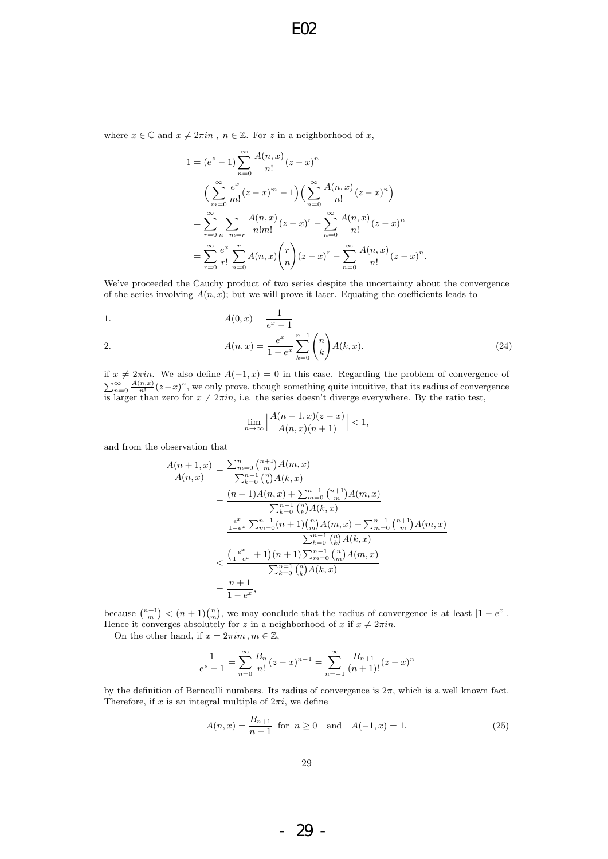where  $x \in \mathbb{C}$  and  $x \neq 2\pi in$ ,  $n \in \mathbb{Z}$ . For z in a neighborhood of x,

$$
1 = (e^{z} - 1) \sum_{n=0}^{\infty} \frac{A(n, x)}{n!} (z - x)^{n}
$$
  
=  $\left( \sum_{m=0}^{\infty} \frac{e^{x}}{m!} (z - x)^{m} - 1 \right) \left( \sum_{n=0}^{\infty} \frac{A(n, x)}{n!} (z - x)^{n} \right)$   
=  $\sum_{r=0}^{\infty} \sum_{n+m=r} \frac{A(n, x)}{n! m!} (z - x)^{r} - \sum_{n=0}^{\infty} \frac{A(n, x)}{n!} (z - x)^{n}$   
=  $\sum_{r=0}^{\infty} \frac{e^{x}}{r!} \sum_{n=0}^{r} A(n, x) {r \choose n} (z - x)^{r} - \sum_{n=0}^{\infty} \frac{A(n, x)}{n!} (z - x)$ 

We've proceeded the Cauchy product of two series despite the uncertainty about the convergence of the series involving  $A(n, x)$ ; but we will prove it later. Equating the coefficients leads to

n .

1. 
$$
A(0, x) = \frac{1}{e^x - 1}
$$

2. 
$$
A(n,x) = \frac{e^x}{1 - e^x} \sum_{k=0}^{n-1} {n \choose k} A(k,x).
$$
 (24)

if  $x \neq 2\pi in$ . We also define  $A(-1, x) = 0$  in this case. Regarding the problem of convergence of  $\sum_{n=0}^{\infty} \frac{A(n,x)}{n!} (z-x)^n$ , we only prove, though something quite intuitive, that its radius of convergence is larger than zero for  $x \neq 2\pi in$ , i.e. the series doesn't diverge everywhere. By the ratio test,

$$
\lim_{n \to \infty} \left| \frac{A(n+1, x)(z-x)}{A(n, x)(n+1)} \right| < 1,
$$

and from the observation that

$$
\frac{A(n+1,x)}{A(n,x)} = \frac{\sum_{m=0}^{n} \binom{n+1}{m} A(m,x)}{\sum_{k=0}^{n-1} \binom{n}{k} A(k,x)}
$$
  
\n
$$
= \frac{(n+1)A(n,x) + \sum_{n=0}^{n-1} \binom{n+1}{m} A(m,x)}{\sum_{k=0}^{n-1} \binom{n}{k} A(k,x)}
$$
  
\n
$$
= \frac{\frac{e^x}{1-e^x} \sum_{m=0}^{n-1} (n+1) \binom{n}{m} A(m,x) + \sum_{m=0}^{n-1} \binom{n+1}{m} A(m,x)}{\sum_{k=0}^{n-1} \binom{n}{k} A(k,x)}
$$
  
\n
$$
< \frac{\left(\frac{e^x}{1-e^x} + 1\right)(n+1) \sum_{m=0}^{n-1} \binom{n}{m} A(m,x)}{\sum_{k=0}^{n-1} \binom{n}{k} A(k,x)}
$$
  
\n
$$
= \frac{n+1}{1-e^x},
$$

because  $\binom{n+1}{m} < (n+1)\binom{n}{m}$ , we may conclude that the radius of convergence is at least  $|1 - e^x|$ . Hence it converges absolutely for z in a neighborhood of x if  $x \neq 2\pi in$ .

On the other hand, if  $x = 2\pi i m$ ,  $m \in \mathbb{Z}$ ,

$$
\frac{1}{e^z - 1} = \sum_{n=0}^{\infty} \frac{B_n}{n!} (z - x)^{n-1} = \sum_{n=-1}^{\infty} \frac{B_{n+1}}{(n+1)!} (z - x)^n
$$

by the definition of Bernoulli numbers. Its radius of convergence is  $2\pi$ , which is a well known fact. Therefore, if x is an integral multiple of  $2\pi i$ , we define

$$
A(n,x) = \frac{B_{n+1}}{n+1} \text{ for } n \ge 0 \text{ and } A(-1,x) = 1.
$$
 (25)

- 29 -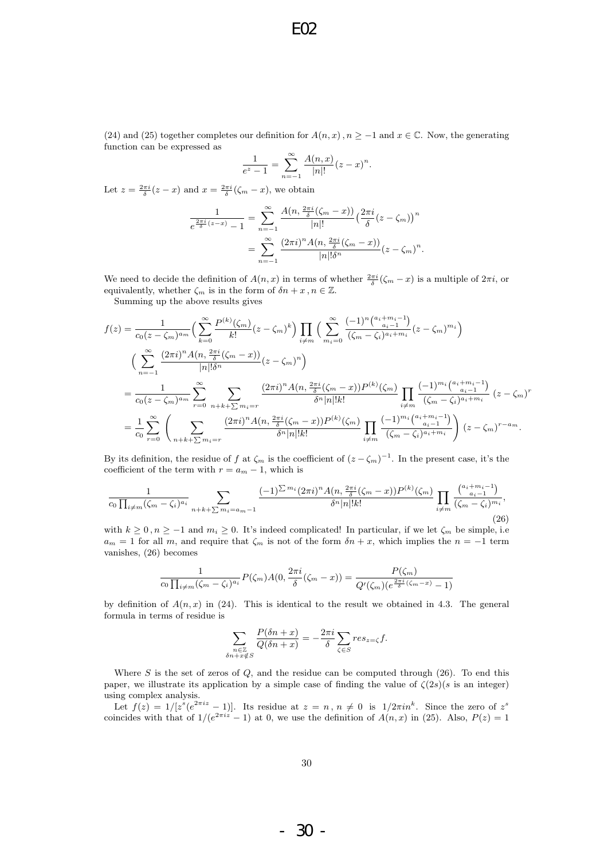(24) and (25) together completes our definition for  $A(n, x)$ ,  $n \ge -1$  and  $x \in \mathbb{C}$ . Now, the generating function can be expressed as

$$
\frac{1}{e^z - 1} = \sum_{n=-1}^{\infty} \frac{A(n, x)}{|n|!} (z - x)^n.
$$

Let  $z = \frac{2\pi i}{\delta}(z - x)$  and  $x = \frac{2\pi i}{\delta}(\zeta_m - x)$ , we obtain

$$
\frac{1}{e^{\frac{2\pi i}{\delta}(z-x)}-1} = \sum_{n=-1}^{\infty} \frac{A(n, \frac{2\pi i}{\delta}(\zeta_m-x))}{|n|!} \left(\frac{2\pi i}{\delta}(z-\zeta_m)\right)^n
$$

$$
= \sum_{n=-1}^{\infty} \frac{(2\pi i)^n A(n, \frac{2\pi i}{\delta}(\zeta_m-x))}{|n|!\delta^n} (z-\zeta_m)^n.
$$

We need to decide the definition of  $A(n,x)$  in terms of whether  $\frac{2\pi i}{\delta}(\zeta_m - x)$  is a multiple of  $2\pi i$ , or equivalently, whether  $\zeta_m$  is in the form of  $\delta n + x, n \in \mathbb{Z}$ .

Summing up the above results gives

$$
f(z) = \frac{1}{c_0(z - \zeta_m)^{a_m}} \Big( \sum_{k=0}^{\infty} \frac{P^{(k)}(\zeta_m)}{k!} (z - \zeta_m)^k \Big) \prod_{i \neq m} \Big( \sum_{m_i=0}^{\infty} \frac{(-1)^n \binom{a_i + m_i - 1}{a_i - 1}}{(\zeta_m - \zeta_i)^{a_i + m_i}} (z - \zeta_m)^{m_i} \Big)
$$
  

$$
\Big( \sum_{n=-1}^{\infty} \frac{(2\pi i)^n A(n, \frac{2\pi i}{\delta}(\zeta_m - x))}{|n|!\delta^n} (z - \zeta_m)^n \Big)
$$
  

$$
= \frac{1}{c_0(z - \zeta_m)^{a_m}} \sum_{r=0}^{\infty} \sum_{n+k+\sum m_i = r} \frac{(2\pi i)^n A(n, \frac{2\pi i}{\delta}(\zeta_m - x)) P^{(k)}(\zeta_m)}{\delta^n |n|!k!} \prod_{i \neq m} \frac{(-1)^{m_i} \binom{a_i + m_i - 1}{a_i - 1}}{(\zeta_m - \zeta_i)^{a_i + m_i}} (z - \zeta_m)^n
$$
  

$$
= \frac{1}{c_0} \sum_{r=0}^{\infty} \left( \sum_{n+k+\sum m_i = r} \frac{(2\pi i)^n A(n, \frac{2\pi i}{\delta}(\zeta_m - x)) P^{(k)}(\zeta_m)}{\delta^n |n|!k!} \prod_{i \neq m} \frac{(-1)^{m_i} \binom{a_i + m_i - 1}{a_i - 1}}{(\zeta_m - \zeta_i)^{a_i + m_i}} \right) (z - \zeta_m)^{r - a_m}.
$$

By its definition, the residue of f at  $\zeta_m$  is the coefficient of  $(z-\zeta_m)^{-1}$ . In the present case, it's the coefficient of the term with  $r = a_m - 1$ , which is

$$
\frac{1}{c_0 \prod_{i \neq m} (\zeta_m - \zeta_i)^{a_i}} \sum_{n+k+\sum m_i = a_m-1} \frac{(-1)^{\sum m_i} (2\pi i)^n A(n, \frac{2\pi i}{\delta} (\zeta_m - x)) P^{(k)}(\zeta_m)}{\delta^n |n|! k!} \prod_{i \neq m} \frac{\binom{a_i + m_i - 1}{a_i - 1}}{(\zeta_m - \zeta_i)^{m_i}},
$$
\n(26)

with  $k \geq 0$ ,  $n \geq -1$  and  $m_i \geq 0$ . It's indeed complicated! In particular, if we let  $\zeta_m$  be simple, i.e.  $a_m = 1$  for all m, and require that  $\zeta_m$  is not of the form  $\delta n + x$ , which implies the  $n = -1$  term vanishes, (26) becomes

$$
\frac{1}{c_0 \prod_{i \neq m} (\zeta_m - \zeta_i)^{a_i}} P(\zeta_m) A(0, \frac{2\pi i}{\delta} (\zeta_m - x)) = \frac{P(\zeta_m)}{Q'(\zeta_m)(e^{\frac{2\pi i}{\delta} (\zeta_m - x)} - 1)}
$$

by definition of  $A(n, x)$  in (24). This is identical to the result we obtained in 4.3. The general formula in terms of residue is

$$
\sum_{\substack{n\in\mathbb{Z}\\ \delta n+x\notin S}}\frac{P(\delta n+x)}{Q(\delta n+x)}=-\frac{2\pi i}{\delta}\sum_{\zeta\in S}res_{z=\zeta}f.
$$

Where  $S$  is the set of zeros of  $Q$ , and the residue can be computed through (26). To end this paper, we illustrate its application by a simple case of finding the value of  $\zeta(2s)(s)$  is an integer) using complex analysis.

Let  $f(z) = 1/[z^s(e^{2\pi i z} - 1)]$ . Its residue at  $z = n, n \neq 0$  is  $1/2\pi i n^k$ . Since the zero of  $z^s$ coincides with that of  $1/(e^{2\pi i z} - 1)$  at 0, we use the definition of  $A(n, x)$  in (25). Also,  $P(z) = 1$ 

- 30 -